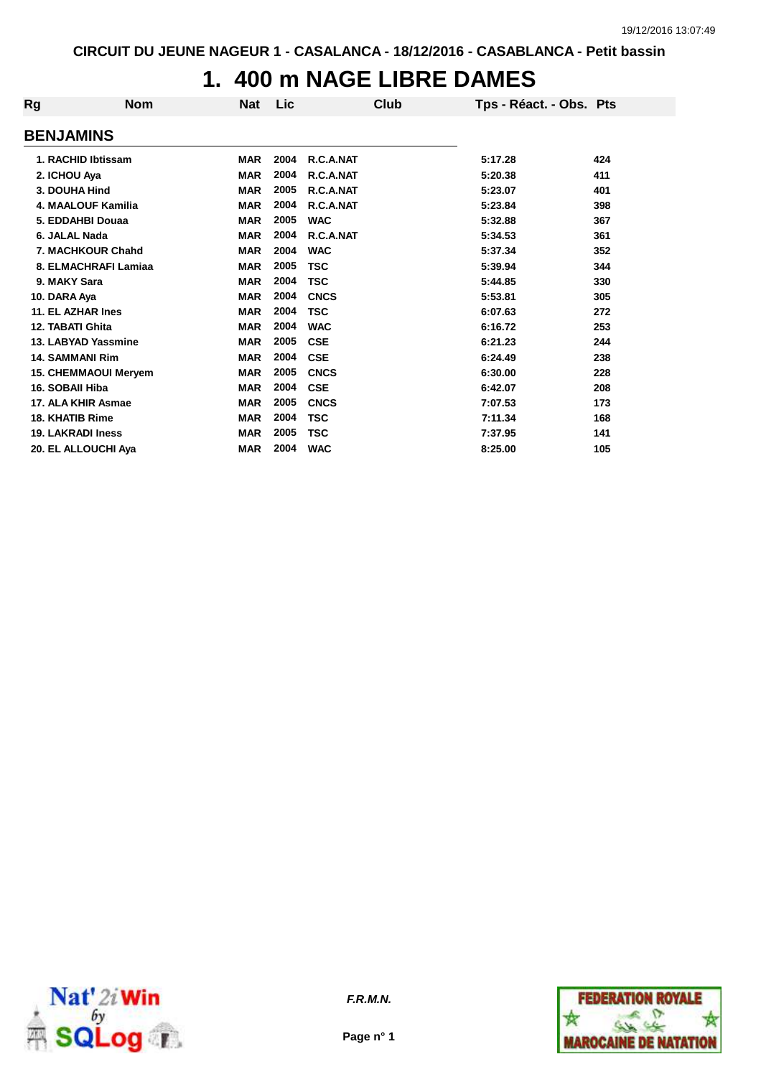## **1. 400 m NAGE LIBRE DAMES**

| Rg | <b>Nom</b>                  | <b>Nat</b> | Lic  | Club        | Tps - Réact. - Obs. Pts |     |
|----|-----------------------------|------------|------|-------------|-------------------------|-----|
|    | <b>BENJAMINS</b>            |            |      |             |                         |     |
|    | 1. RACHID Ibtissam          | <b>MAR</b> | 2004 | R.C.A.NAT   | 5:17.28                 | 424 |
|    | 2. ICHOU Aya                | <b>MAR</b> | 2004 | R.C.A.NAT   | 5:20.38                 | 411 |
|    | 3. DOUHA Hind               | <b>MAR</b> | 2005 | R.C.A.NAT   | 5:23.07                 | 401 |
|    | <b>4. MAALOUF Kamilia</b>   | <b>MAR</b> | 2004 | R.C.A.NAT   | 5:23.84                 | 398 |
|    | 5. EDDAHBI Douaa            | <b>MAR</b> | 2005 | <b>WAC</b>  | 5:32.88                 | 367 |
|    | 6. JALAL Nada               | <b>MAR</b> | 2004 | R.C.A.NAT   | 5:34.53                 | 361 |
|    | 7. MACHKOUR Chahd           | <b>MAR</b> | 2004 | <b>WAC</b>  | 5:37.34                 | 352 |
|    | 8. ELMACHRAFI Lamiaa        | <b>MAR</b> | 2005 | <b>TSC</b>  | 5:39.94                 | 344 |
|    | 9. MAKY Sara                | <b>MAR</b> | 2004 | <b>TSC</b>  | 5:44.85                 | 330 |
|    | 10. DARA Aya                | <b>MAR</b> | 2004 | <b>CNCS</b> | 5:53.81                 | 305 |
|    | 11. EL AZHAR Ines           | <b>MAR</b> | 2004 | <b>TSC</b>  | 6:07.63                 | 272 |
|    | <b>12. TABATI Ghita</b>     | <b>MAR</b> | 2004 | <b>WAC</b>  | 6:16.72                 | 253 |
|    | 13. LABYAD Yassmine         | <b>MAR</b> | 2005 | <b>CSE</b>  | 6:21.23                 | 244 |
|    | <b>14. SAMMANI Rim</b>      | <b>MAR</b> | 2004 | <b>CSE</b>  | 6:24.49                 | 238 |
|    | <b>15. CHEMMAOUI Meryem</b> | <b>MAR</b> | 2005 | <b>CNCS</b> | 6:30.00                 | 228 |
|    | 16. SOBAII Hiba             | <b>MAR</b> | 2004 | <b>CSE</b>  | 6:42.07                 | 208 |
|    | 17. ALA KHIR Asmae          | <b>MAR</b> | 2005 | <b>CNCS</b> | 7:07.53                 | 173 |
|    | <b>18. KHATIB Rime</b>      | <b>MAR</b> | 2004 | <b>TSC</b>  | 7:11.34                 | 168 |
|    | <b>19. LAKRADI Iness</b>    | <b>MAR</b> | 2005 | <b>TSC</b>  | 7:37.95                 | 141 |
|    | 20. EL ALLOUCHI Aya         | <b>MAR</b> | 2004 | <b>WAC</b>  | 8:25.00                 | 105 |
|    |                             |            |      |             |                         |     |



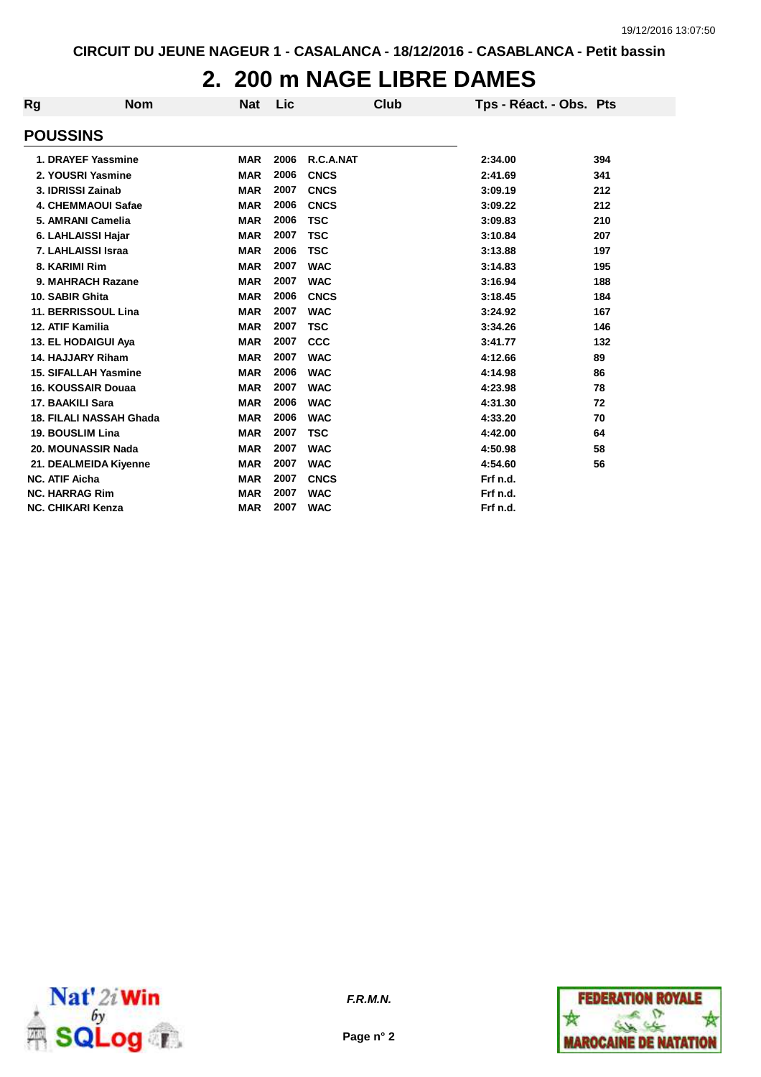## **2. 200 m NAGE LIBRE DAMES**

| Rg                       | <b>Nom</b>                     | <b>Nat</b> | Lic  | Club        | Tps - Réact. - Obs. Pts |     |
|--------------------------|--------------------------------|------------|------|-------------|-------------------------|-----|
| <b>POUSSINS</b>          |                                |            |      |             |                         |     |
|                          | 1. DRAYEF Yassmine             | <b>MAR</b> | 2006 | R.C.A.NAT   | 2:34.00                 | 394 |
|                          | 2. YOUSRI Yasmine              | <b>MAR</b> | 2006 | <b>CNCS</b> | 2:41.69                 | 341 |
|                          | 3. IDRISSI Zainab              | <b>MAR</b> | 2007 | <b>CNCS</b> | 3:09.19                 | 212 |
|                          | 4. CHEMMAOUI Safae             | <b>MAR</b> | 2006 | <b>CNCS</b> | 3:09.22                 | 212 |
|                          | 5. AMRANI Camelia              | <b>MAR</b> | 2006 | <b>TSC</b>  | 3:09.83                 | 210 |
|                          | 6. LAHLAISSI Hajar             | <b>MAR</b> | 2007 | <b>TSC</b>  | 3:10.84                 | 207 |
|                          | 7. LAHLAISSI Israa             | <b>MAR</b> | 2006 | <b>TSC</b>  | 3:13.88                 | 197 |
| 8. KARIMI Rim            |                                | <b>MAR</b> | 2007 | <b>WAC</b>  | 3:14.83                 | 195 |
|                          | 9. MAHRACH Razane              | <b>MAR</b> | 2007 | <b>WAC</b>  | 3:16.94                 | 188 |
| 10. SABIR Ghita          |                                | <b>MAR</b> | 2006 | <b>CNCS</b> | 3:18.45                 | 184 |
|                          | 11. BERRISSOUL Lina            | <b>MAR</b> | 2007 | <b>WAC</b>  | 3:24.92                 | 167 |
| 12. ATIF Kamilia         |                                | <b>MAR</b> | 2007 | <b>TSC</b>  | 3:34.26                 | 146 |
|                          | 13. EL HODAIGUI Aya            | <b>MAR</b> | 2007 | <b>CCC</b>  | 3:41.77                 | 132 |
|                          | 14. HAJJARY Riham              | <b>MAR</b> | 2007 | <b>WAC</b>  | 4:12.66                 | 89  |
|                          | <b>15. SIFALLAH Yasmine</b>    | <b>MAR</b> | 2006 | <b>WAC</b>  | 4:14.98                 | 86  |
|                          | <b>16. KOUSSAIR Douaa</b>      | <b>MAR</b> | 2007 | <b>WAC</b>  | 4:23.98                 | 78  |
| <b>17. BAAKILI Sara</b>  |                                | <b>MAR</b> | 2006 | <b>WAC</b>  | 4:31.30                 | 72  |
|                          | <b>18. FILALI NASSAH Ghada</b> | <b>MAR</b> | 2006 | <b>WAC</b>  | 4:33.20                 | 70  |
| 19. BOUSLIM Lina         |                                | <b>MAR</b> | 2007 | <b>TSC</b>  | 4:42.00                 | 64  |
|                          | 20. MOUNASSIR Nada             | <b>MAR</b> | 2007 | <b>WAC</b>  | 4:50.98                 | 58  |
|                          | 21. DEALMEIDA Kiyenne          | <b>MAR</b> | 2007 | <b>WAC</b>  | 4:54.60                 | 56  |
| <b>NC. ATIF Aicha</b>    |                                | <b>MAR</b> | 2007 | <b>CNCS</b> | Frf n.d.                |     |
| <b>NC. HARRAG Rim</b>    |                                | <b>MAR</b> | 2007 | <b>WAC</b>  | Frf n.d.                |     |
| <b>NC. CHIKARI Kenza</b> |                                | <b>MAR</b> | 2007 | <b>WAC</b>  | Frf n.d.                |     |



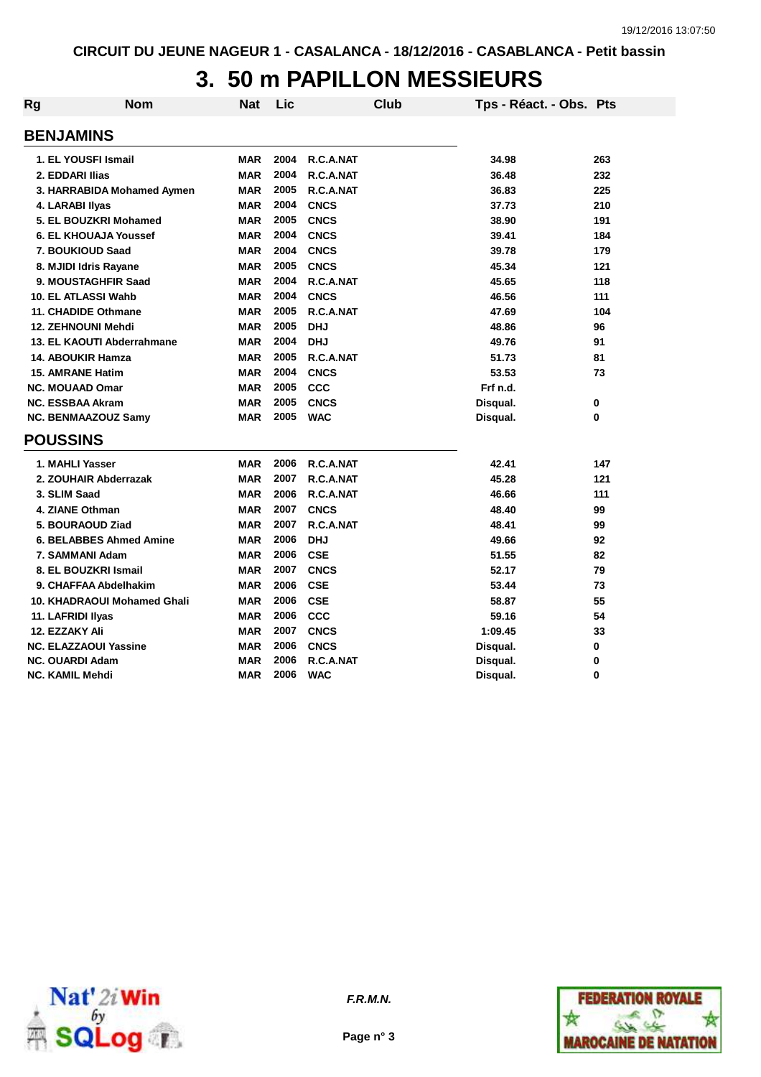## **3. 50 m PAPILLON MESSIEURS**

| Rg | Nom                            | Nat        | Lic  | Club        | Tps - Réact. - Obs. Pts |          |
|----|--------------------------------|------------|------|-------------|-------------------------|----------|
|    | <b>BENJAMINS</b>               |            |      |             |                         |          |
|    | 1. EL YOUSFI Ismail            | <b>MAR</b> | 2004 | R.C.A.NAT   | 34.98                   | 263      |
|    | 2. EDDARI Ilias                | <b>MAR</b> | 2004 | R.C.A.NAT   | 36.48                   | 232      |
|    | 3. HARRABIDA Mohamed Aymen     | <b>MAR</b> | 2005 | R.C.A.NAT   | 36.83                   | 225      |
|    | 4. LARABI Ilyas                | <b>MAR</b> | 2004 | <b>CNCS</b> | 37.73                   | 210      |
|    | 5. EL BOUZKRI Mohamed          | <b>MAR</b> | 2005 | <b>CNCS</b> | 38.90                   | 191      |
|    | <b>6. EL KHOUAJA Youssef</b>   | <b>MAR</b> | 2004 | <b>CNCS</b> | 39.41                   | 184      |
|    | 7. BOUKIOUD Saad               | <b>MAR</b> | 2004 | <b>CNCS</b> | 39.78                   | 179      |
|    | 8. MJIDI Idris Rayane          | <b>MAR</b> | 2005 | <b>CNCS</b> | 45.34                   | 121      |
|    | 9. MOUSTAGHFIR Saad            | <b>MAR</b> | 2004 | R.C.A.NAT   | 45.65                   | 118      |
|    | 10. EL ATLASSI Wahb            | <b>MAR</b> | 2004 | <b>CNCS</b> | 46.56                   | 111      |
|    | 11. CHADIDE Othmane            | <b>MAR</b> | 2005 | R.C.A.NAT   | 47.69                   | 104      |
|    | <b>12. ZEHNOUNI Mehdi</b>      | <b>MAR</b> | 2005 | <b>DHJ</b>  | 48.86                   | 96       |
|    | 13. EL KAOUTI Abderrahmane     | <b>MAR</b> | 2004 | <b>DHJ</b>  | 49.76                   | 91       |
|    | <b>14. ABOUKIR Hamza</b>       | <b>MAR</b> | 2005 | R.C.A.NAT   | 51.73                   | 81       |
|    | <b>15. AMRANE Hatim</b>        | <b>MAR</b> | 2004 | <b>CNCS</b> | 53.53                   | 73       |
|    | <b>NC. MOUAAD Omar</b>         | <b>MAR</b> | 2005 | CCC         | Frf n.d.                |          |
|    | <b>NC. ESSBAA Akram</b>        | <b>MAR</b> | 2005 | <b>CNCS</b> | Disqual.                | 0        |
|    | <b>NC. BENMAAZOUZ Samy</b>     | <b>MAR</b> | 2005 | <b>WAC</b>  | Disqual.                | $\bf{0}$ |
|    | <b>POUSSINS</b>                |            |      |             |                         |          |
|    | 1. MAHLI Yasser                | <b>MAR</b> | 2006 | R.C.A.NAT   | 42.41                   | 147      |
|    | 2. ZOUHAIR Abderrazak          | <b>MAR</b> | 2007 | R.C.A.NAT   | 45.28                   | 121      |
|    | 3. SLIM Saad                   | <b>MAR</b> | 2006 | R.C.A.NAT   | 46.66                   | 111      |
|    | 4. ZIANE Othman                | <b>MAR</b> | 2007 | <b>CNCS</b> | 48.40                   | 99       |
|    | 5. BOURAOUD Ziad               | <b>MAR</b> | 2007 | R.C.A.NAT   | 48.41                   | 99       |
|    | <b>6. BELABBES Ahmed Amine</b> | <b>MAR</b> | 2006 | <b>DHJ</b>  | 49.66                   | 92       |
|    | 7. SAMMANI Adam                | <b>MAR</b> | 2006 | <b>CSE</b>  | 51.55                   | 82       |
|    | 8. EL BOUZKRI Ismail           | <b>MAR</b> | 2007 | <b>CNCS</b> | 52.17                   | 79       |
|    | 9. CHAFFAA Abdelhakim          | <b>MAR</b> | 2006 | <b>CSE</b>  | 53.44                   | 73       |
|    | 10. KHADRAOUI Mohamed Ghali    | <b>MAR</b> | 2006 | <b>CSE</b>  | 58.87                   | 55       |
|    | 11. LAFRIDI Ilyas              | <b>MAR</b> | 2006 | CCC         | 59.16                   | 54       |
|    | 12. EZZAKY Ali                 | <b>MAR</b> | 2007 | <b>CNCS</b> | 1:09.45                 | 33       |
|    | NC. ELAZZAOUI Yassine          | <b>MAR</b> | 2006 | <b>CNCS</b> | Disqual.                | 0        |
|    | <b>NC. OUARDI Adam</b>         | <b>MAR</b> | 2006 | R.C.A.NAT   | Disqual.                | $\bf{0}$ |
|    | NC. KAMIL Mehdi                | <b>MAR</b> | 2006 | <b>WAC</b>  | Disqual.                | $\Omega$ |



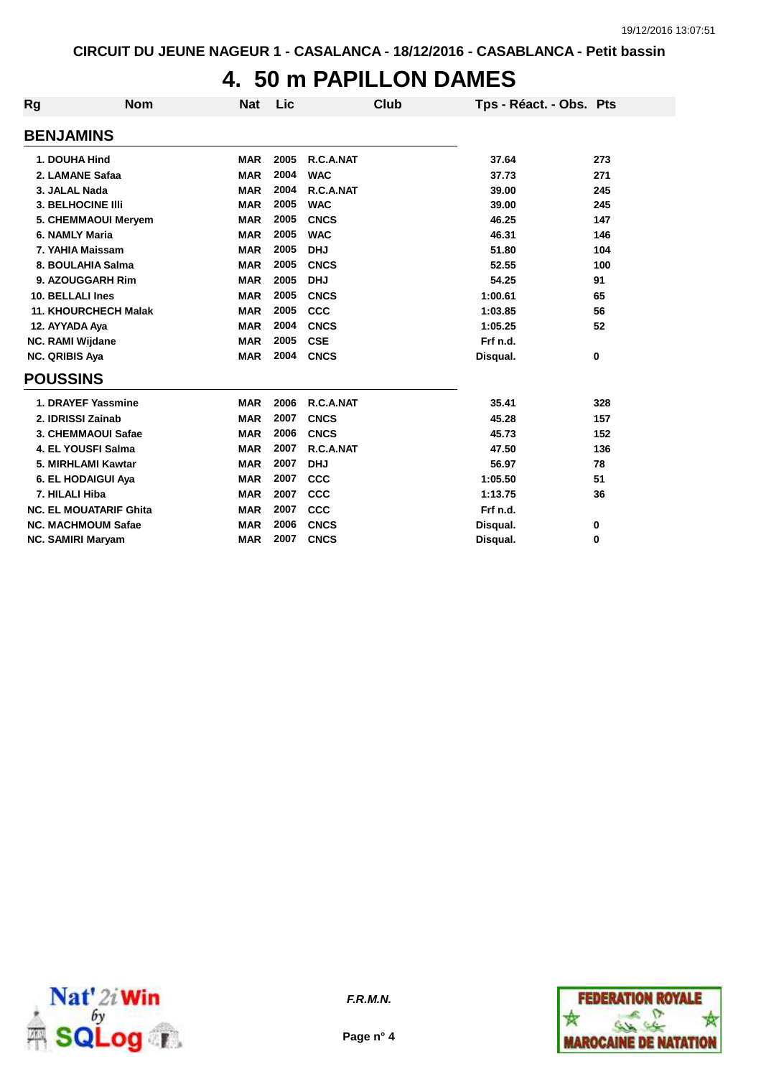# **4. 50 m PAPILLON DAMES**

| Rg                       | <b>Nom</b>                    | <b>Nat</b> | Lic  | Club        | Tps - Réact. - Obs. Pts |     |
|--------------------------|-------------------------------|------------|------|-------------|-------------------------|-----|
| <b>BENJAMINS</b>         |                               |            |      |             |                         |     |
| 1. DOUHA Hind            |                               | <b>MAR</b> | 2005 | R.C.A.NAT   | 37.64                   | 273 |
| 2. LAMANE Safaa          |                               | <b>MAR</b> | 2004 | <b>WAC</b>  | 37.73                   | 271 |
| 3. JALAL Nada            |                               | <b>MAR</b> | 2004 | R.C.A.NAT   | 39.00                   | 245 |
| <b>3. BELHOCINE IIII</b> |                               | <b>MAR</b> | 2005 | <b>WAC</b>  | 39.00                   | 245 |
|                          | 5. CHEMMAOUI Meryem           | <b>MAR</b> | 2005 | <b>CNCS</b> | 46.25                   | 147 |
| 6. NAMLY Maria           |                               | <b>MAR</b> | 2005 | <b>WAC</b>  | 46.31                   | 146 |
| 7. YAHIA Maissam         |                               | <b>MAR</b> | 2005 | <b>DHJ</b>  | 51.80                   | 104 |
|                          | 8. BOULAHIA Salma             | <b>MAR</b> | 2005 | <b>CNCS</b> | 52.55                   | 100 |
|                          | 9. AZOUGGARH Rim              | <b>MAR</b> | 2005 | <b>DHJ</b>  | 54.25                   | 91  |
| 10. BELLALI Ines         |                               | <b>MAR</b> | 2005 | <b>CNCS</b> | 1:00.61                 | 65  |
|                          | <b>11. KHOURCHECH Malak</b>   | <b>MAR</b> | 2005 | CCC         | 1:03.85                 | 56  |
| 12. AYYADA Aya           |                               | <b>MAR</b> | 2004 | <b>CNCS</b> | 1:05.25                 | 52  |
| <b>NC. RAMI Wijdane</b>  |                               | <b>MAR</b> | 2005 | <b>CSE</b>  | Frf n.d.                |     |
| NC. QRIBIS Aya           |                               | <b>MAR</b> | 2004 | <b>CNCS</b> | Disqual.                | 0   |
| <b>POUSSINS</b>          |                               |            |      |             |                         |     |
|                          | 1. DRAYEF Yassmine            | <b>MAR</b> | 2006 | R.C.A.NAT   | 35.41                   | 328 |
| 2. IDRISSI Zainab        |                               | <b>MAR</b> | 2007 | <b>CNCS</b> | 45.28                   | 157 |
|                          | 3. CHEMMAOUI Safae            | <b>MAR</b> | 2006 | <b>CNCS</b> | 45.73                   | 152 |
|                          | 4. EL YOUSFI Salma            | <b>MAR</b> | 2007 | R.C.A.NAT   | 47.50                   | 136 |
|                          | 5. MIRHLAMI Kawtar            | <b>MAR</b> | 2007 | <b>DHJ</b>  | 56.97                   | 78  |
|                          | 6. EL HODAIGUI Aya            | <b>MAR</b> | 2007 | CCC         | 1:05.50                 | 51  |
| 7. HILALI Hiba           |                               | <b>MAR</b> | 2007 | CCC         | 1:13.75                 | 36  |
|                          | <b>NC. EL MOUATARIF Ghita</b> | <b>MAR</b> | 2007 | <b>CCC</b>  | Frf n.d.                |     |
|                          | <b>NC. MACHMOUM Safae</b>     | <b>MAR</b> | 2006 | <b>CNCS</b> | Disqual.                | 0   |
| <b>NC. SAMIRI Maryam</b> |                               | <b>MAR</b> | 2007 | <b>CNCS</b> | Disqual.                | 0   |





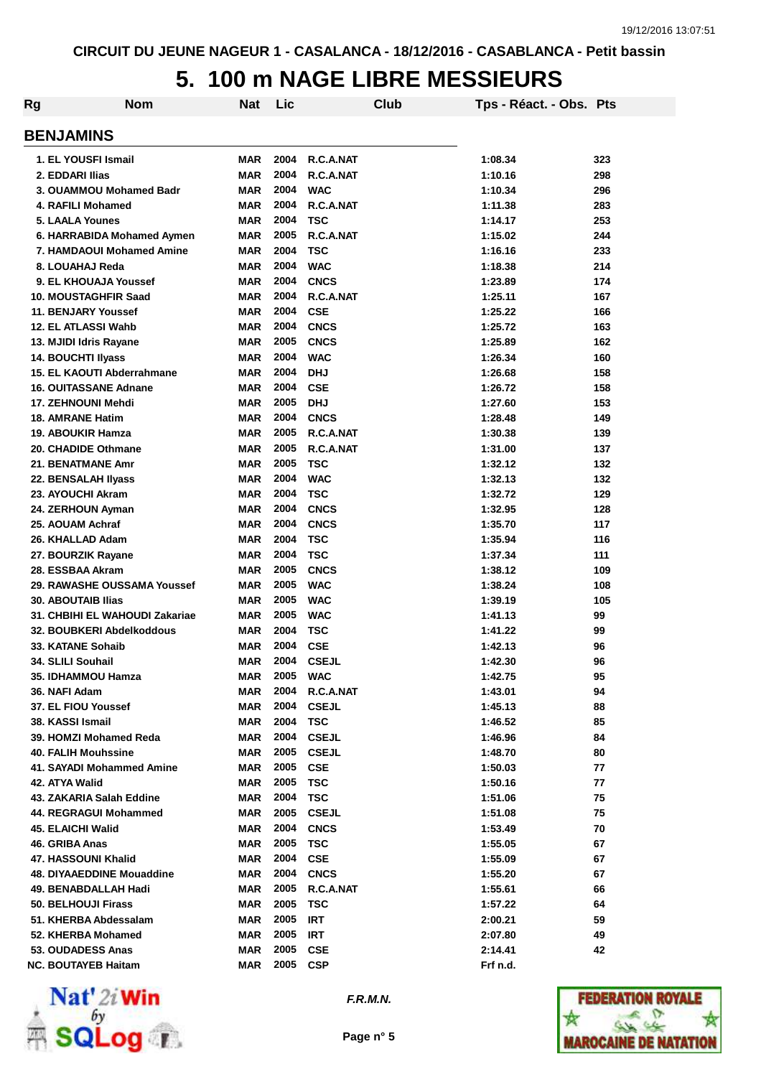## **5. 100 m NAGE LIBRE MESSIEURS**

| Rg | <b>Nom</b>                                           | <b>Nat</b>        | Lic          | Club                       | Tps - Réact. - Obs. Pts |          |
|----|------------------------------------------------------|-------------------|--------------|----------------------------|-------------------------|----------|
|    | <b>BENJAMINS</b>                                     |                   |              |                            |                         |          |
|    | 1. EL YOUSFI Ismail                                  | <b>MAR</b>        | 2004         | R.C.A.NAT                  | 1:08.34                 | 323      |
|    | 2. EDDARI Ilias                                      | <b>MAR</b>        | 2004         | R.C.A.NAT                  | 1:10.16                 | 298      |
|    | 3. OUAMMOU Mohamed Badr                              | <b>MAR</b>        | 2004         | <b>WAC</b>                 | 1:10.34                 | 296      |
|    | 4. RAFILI Mohamed                                    | <b>MAR</b>        | 2004         | R.C.A.NAT                  | 1:11.38                 | 283      |
|    | 5. LAALA Younes                                      | <b>MAR</b>        | 2004         | <b>TSC</b>                 | 1:14.17                 | 253      |
|    | 6. HARRABIDA Mohamed Aymen                           | <b>MAR</b>        | 2005         | R.C.A.NAT                  | 1:15.02                 | 244      |
|    | 7. HAMDAOUI Mohamed Amine                            | <b>MAR</b>        | 2004         | <b>TSC</b>                 | 1:16.16                 | 233      |
|    | 8. LOUAHAJ Reda                                      | <b>MAR</b>        | 2004         | <b>WAC</b>                 | 1:18.38                 | 214      |
|    | 9. EL KHOUAJA Youssef                                | <b>MAR</b>        | 2004         | <b>CNCS</b>                | 1:23.89                 | 174      |
|    | 10. MOUSTAGHFIR Saad                                 | <b>MAR</b>        | 2004         | R.C.A.NAT                  | 1:25.11                 | 167      |
|    | 11. BENJARY Youssef                                  | <b>MAR</b>        | 2004         | <b>CSE</b>                 | 1:25.22                 | 166      |
|    | 12. EL ATLASSI Wahb                                  | <b>MAR</b>        | 2004         | <b>CNCS</b>                | 1:25.72                 | 163      |
|    | 13. MJIDI Idris Rayane                               | <b>MAR</b>        | 2005         | <b>CNCS</b>                | 1:25.89                 | 162      |
|    | <b>14. BOUCHTI IIvass</b>                            | <b>MAR</b>        | 2004         | <b>WAC</b>                 | 1:26.34                 | 160      |
|    | 15. EL KAOUTI Abderrahmane                           | <b>MAR</b>        | 2004         | <b>DHJ</b>                 | 1:26.68                 | 158      |
|    | <b>16. OUITASSANE Adnane</b>                         | <b>MAR</b>        | 2004         | <b>CSE</b>                 | 1:26.72                 | 158      |
|    | 17. ZEHNOUNI Mehdi                                   | <b>MAR</b>        | 2005         | <b>DHJ</b>                 | 1:27.60                 | 153      |
|    | <b>18. AMRANE Hatim</b>                              | <b>MAR</b>        | 2004         | <b>CNCS</b>                | 1:28.48                 | 149      |
|    | <b>19. ABOUKIR Hamza</b>                             | <b>MAR</b>        | 2005         | R.C.A.NAT                  | 1:30.38                 | 139      |
|    | 20. CHADIDE Othmane                                  | <b>MAR</b>        | 2005         | R.C.A.NAT                  | 1:31.00                 | 137      |
|    | 21. BENATMANE Amr                                    | <b>MAR</b>        | 2005         | TSC                        | 1:32.12                 | 132      |
|    | 22. BENSALAH IIyass                                  | <b>MAR</b>        | 2004         | <b>WAC</b>                 | 1:32.13                 | 132      |
|    | 23. AYOUCHI Akram                                    | <b>MAR</b>        | 2004         | <b>TSC</b>                 | 1:32.72                 | 129      |
|    | 24. ZERHOUN Ayman                                    | <b>MAR</b>        | 2004         | <b>CNCS</b>                | 1:32.95                 | 128      |
|    | 25. AOUAM Achraf                                     | <b>MAR</b>        | 2004         | <b>CNCS</b>                | 1:35.70                 | 117      |
|    | 26. KHALLAD Adam                                     | <b>MAR</b>        | 2004         | <b>TSC</b>                 | 1:35.94                 | 116      |
|    | 27. BOURZIK Rayane                                   | <b>MAR</b>        | 2004         | <b>TSC</b>                 | 1:37.34                 | 111      |
|    | 28. ESSBAA Akram                                     | <b>MAR</b>        | 2005         | <b>CNCS</b>                | 1:38.12                 | 109      |
|    | 29. RAWASHE OUSSAMA Youssef                          | <b>MAR</b>        | 2005         | <b>WAC</b>                 | 1:38.24                 | 108      |
|    | <b>30. ABOUTAIB Ilias</b>                            | <b>MAR</b>        | 2005         | <b>WAC</b>                 | 1:39.19                 | 105      |
|    | 31. CHBIHI EL WAHOUDI Zakariae                       | <b>MAR</b>        | 2005         | <b>WAC</b>                 | 1:41.13                 | 99       |
|    | 32. BOUBKERI Abdelkoddous                            | <b>MAR</b>        | 2004         | <b>TSC</b>                 | 1:41.22                 | 99       |
|    | 33. KATANE Sohaib                                    | <b>MAR</b>        | 2004         | <b>CSE</b>                 | 1:42.13                 | 96       |
|    | 34. SLILI Souhail                                    | <b>MAR</b>        | 2004         | <b>CSEJL</b>               | 1:42.30                 | 96       |
|    | 35. IDHAMMOU Hamza                                   | MAR               | 2005         | <b>WAC</b>                 | 1:42.75                 | 95       |
|    | 36. NAFI Adam                                        | MAR               | 2004         | R.C.A.NAT                  | 1:43.01                 | 94       |
|    | 37. EL FIOU Youssef                                  | <b>MAR</b>        | 2004         | <b>CSEJL</b>               | 1:45.13                 | 88       |
|    | 38. KASSI Ismail                                     | <b>MAR</b>        | 2004         | <b>TSC</b>                 | 1:46.52                 | 85       |
|    | 39. HOMZI Mohamed Reda<br><b>40. FALIH Mouhssine</b> | MAR               | 2004<br>2005 | <b>CSEJL</b>               | 1:46.96                 | 84       |
|    |                                                      | MAR<br><b>MAR</b> | 2005         | <b>CSEJL</b><br><b>CSE</b> | 1:48.70                 | 80       |
|    | 41. SAYADI Mohammed Amine<br>42. ATYA Walid          | <b>MAR</b>        | 2005         | <b>TSC</b>                 | 1:50.03<br>1:50.16      | 77<br>77 |
|    | 43. ZAKARIA Salah Eddine                             | <b>MAR</b>        | 2004         | <b>TSC</b>                 | 1:51.06                 | 75       |
|    | 44. REGRAGUI Mohammed                                | <b>MAR</b>        | 2005         | <b>CSEJL</b>               | 1:51.08                 | 75       |
|    | <b>45. ELAICHI Walid</b>                             | <b>MAR</b>        | 2004         | <b>CNCS</b>                | 1:53.49                 | 70       |
|    | 46. GRIBA Anas                                       | <b>MAR</b>        | 2005         | <b>TSC</b>                 | 1:55.05                 | 67       |
|    | 47. HASSOUNI Khalid                                  | <b>MAR</b>        | 2004         | <b>CSE</b>                 | 1:55.09                 | 67       |
|    | 48. DIYAAEDDINE Mouaddine                            | <b>MAR</b>        | 2004         | <b>CNCS</b>                | 1:55.20                 | 67       |
|    | 49. BENABDALLAH Hadi                                 | MAR               | 2005         | R.C.A.NAT                  | 1:55.61                 | 66       |
|    | <b>50. BELHOUJI Firass</b>                           | <b>MAR</b>        | 2005         | <b>TSC</b>                 | 1:57.22                 | 64       |
|    | 51. KHERBA Abdessalam                                | <b>MAR</b>        | 2005         | <b>IRT</b>                 | 2:00.21                 | 59       |
|    | 52. KHERBA Mohamed                                   | <b>MAR</b>        | 2005         | IRT                        | 2:07.80                 | 49       |
|    | 53. OUDADESS Anas                                    | <b>MAR</b>        | 2005         | <b>CSE</b>                 | 2:14.41                 | 42       |
|    | <b>NC. BOUTAYEB Haitam</b>                           | <b>MAR</b>        | 2005         | <b>CSP</b>                 | Frf n.d.                |          |



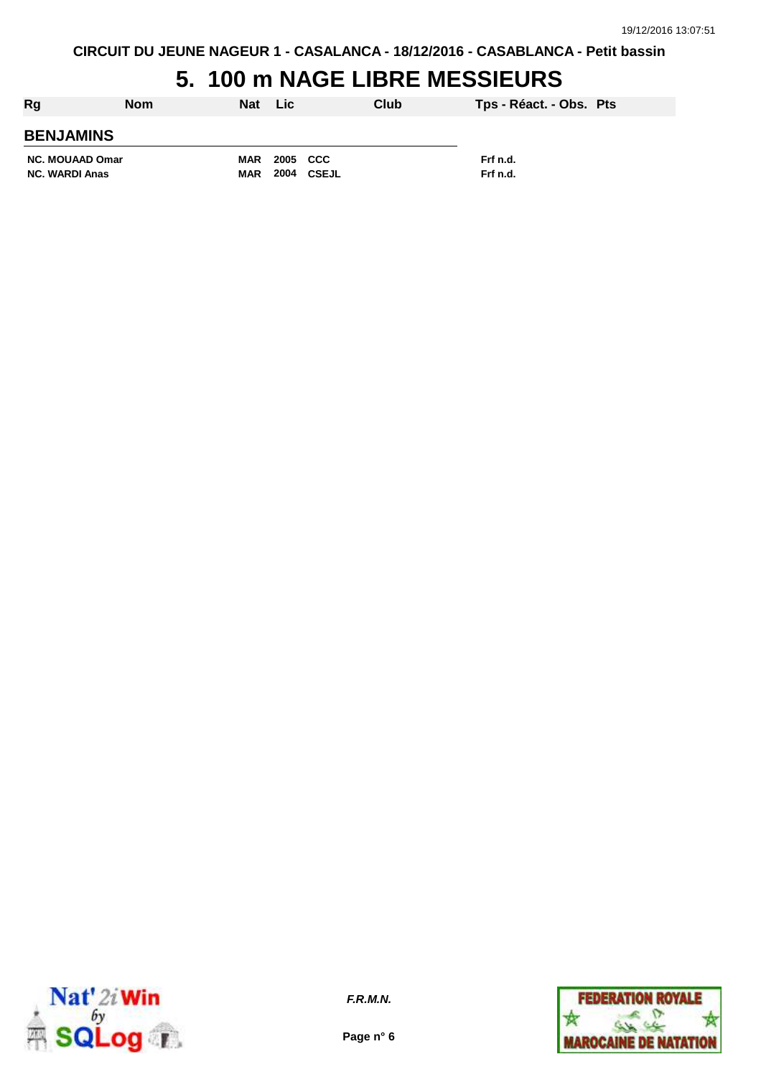# **5. 100 m NAGE LIBRE MESSIEURS**

| Rg                     | <b>Nom</b> | Nat        | <b>Lic</b> |       | Club | Tps - Réact. - Obs. Pts |  |
|------------------------|------------|------------|------------|-------|------|-------------------------|--|
| <b>BENJAMINS</b>       |            |            |            |       |      |                         |  |
| <b>NC. MOUAAD Omar</b> |            | MAR        | 2005 CCC   |       |      | Frf n.d.                |  |
| <b>NC. WARDI Anas</b>  |            | <b>MAR</b> | 2004       | CSEJL |      | Frf n.d.                |  |



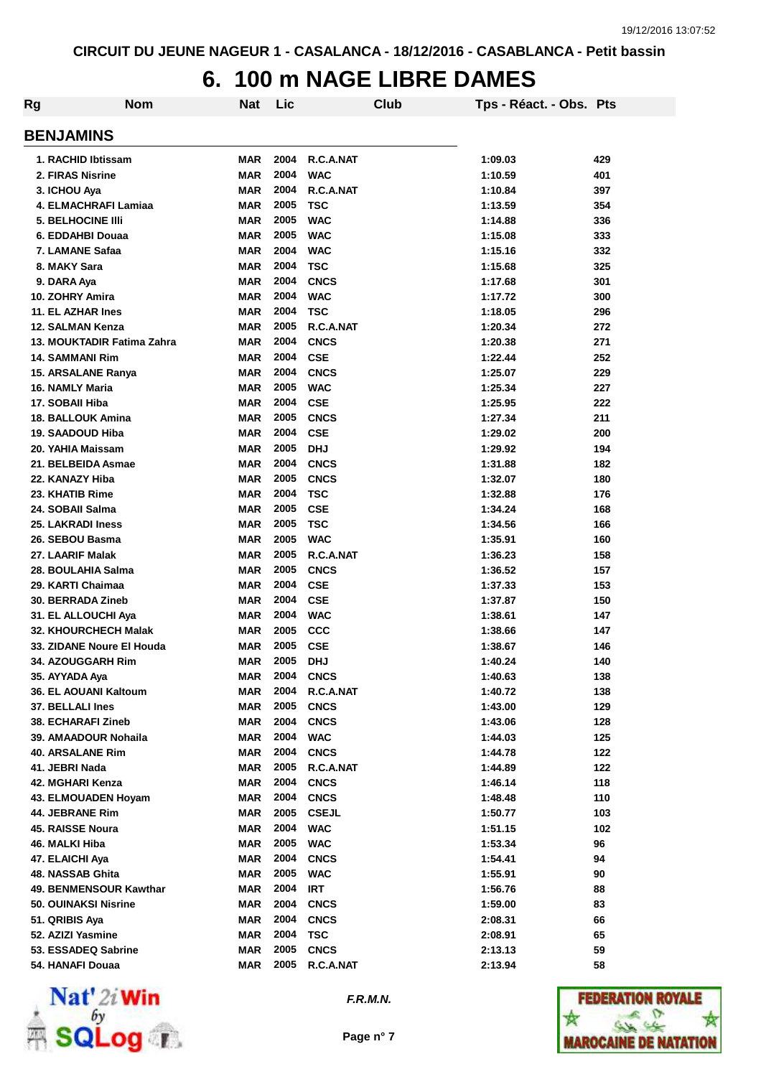### **6. 100 m NAGE LIBRE DAMES**

| Rg                           | <b>Nom</b> | Nat        | Lic  |              | Club | Tps - Réact. - Obs. Pts |     |
|------------------------------|------------|------------|------|--------------|------|-------------------------|-----|
| <b>BENJAMINS</b>             |            |            |      |              |      |                         |     |
| 1. RACHID Ibtissam           |            | <b>MAR</b> | 2004 | R.C.A.NAT    |      | 1:09.03                 | 429 |
| 2. FIRAS Nisrine             |            | <b>MAR</b> | 2004 | <b>WAC</b>   |      | 1:10.59                 | 401 |
| 3. ICHOU Aya                 |            | <b>MAR</b> | 2004 | R.C.A.NAT    |      | 1:10.84                 | 397 |
| 4. ELMACHRAFI Lamiaa         |            | <b>MAR</b> | 2005 | <b>TSC</b>   |      | 1:13.59                 | 354 |
| <b>5. BELHOCINE IIII</b>     |            | <b>MAR</b> | 2005 | <b>WAC</b>   |      | 1:14.88                 | 336 |
| 6. EDDAHBI Douaa             |            | <b>MAR</b> | 2005 | <b>WAC</b>   |      | 1:15.08                 | 333 |
| 7. LAMANE Safaa              |            | <b>MAR</b> | 2004 | <b>WAC</b>   |      | 1:15.16                 | 332 |
| 8. MAKY Sara                 |            | <b>MAR</b> | 2004 | <b>TSC</b>   |      | 1:15.68                 | 325 |
| 9. DARA Aya                  |            | <b>MAR</b> | 2004 | <b>CNCS</b>  |      | 1:17.68                 | 301 |
| 10. ZOHRY Amira              |            | <b>MAR</b> | 2004 | <b>WAC</b>   |      | 1:17.72                 | 300 |
| 11. EL AZHAR Ines            |            | <b>MAR</b> | 2004 | <b>TSC</b>   |      | 1:18.05                 | 296 |
| 12. SALMAN Kenza             |            | <b>MAR</b> | 2005 | R.C.A.NAT    |      | 1:20.34                 | 272 |
| 13. MOUKTADIR Fatima Zahra   |            | MAR        | 2004 | <b>CNCS</b>  |      | 1:20.38                 | 271 |
| <b>14. SAMMANI Rim</b>       |            | MAR        | 2004 | <b>CSE</b>   |      | 1:22.44                 | 252 |
| 15. ARSALANE Ranya           |            | MAR        | 2004 | <b>CNCS</b>  |      | 1:25.07                 | 229 |
| <b>16. NAMLY Maria</b>       |            | <b>MAR</b> | 2005 | <b>WAC</b>   |      | 1:25.34                 | 227 |
| 17. SOBAII Hiba              |            | MAR        | 2004 | <b>CSE</b>   |      | 1:25.95                 | 222 |
| <b>18. BALLOUK Amina</b>     |            | MAR        | 2005 | <b>CNCS</b>  |      | 1:27.34                 | 211 |
| 19. SAADOUD Hiba             |            | MAR        | 2004 | <b>CSE</b>   |      | 1:29.02                 | 200 |
| 20. YAHIA Maissam            |            | MAR        | 2005 | <b>DHJ</b>   |      | 1:29.92                 | 194 |
| 21. BELBEIDA Asmae           |            | <b>MAR</b> | 2004 | <b>CNCS</b>  |      | 1:31.88                 | 182 |
| 22. KANAZY Hiba              |            | <b>MAR</b> | 2005 | <b>CNCS</b>  |      | 1:32.07                 | 180 |
| 23. KHATIB Rime              |            | <b>MAR</b> | 2004 | <b>TSC</b>   |      | 1:32.88                 | 176 |
| 24. SOBAII Salma             |            | <b>MAR</b> | 2005 | <b>CSE</b>   |      | 1:34.24                 | 168 |
| <b>25. LAKRADI Iness</b>     |            | <b>MAR</b> | 2005 | <b>TSC</b>   |      | 1:34.56                 | 166 |
| 26. SEBOU Basma              |            | <b>MAR</b> | 2005 | <b>WAC</b>   |      | 1:35.91                 | 160 |
| 27. LAARIF Malak             |            | <b>MAR</b> | 2005 | R.C.A.NAT    |      | 1:36.23                 | 158 |
| 28. BOULAHIA Salma           |            | <b>MAR</b> | 2005 | <b>CNCS</b>  |      | 1:36.52                 | 157 |
| 29. KARTI Chaimaa            |            | <b>MAR</b> | 2004 | <b>CSE</b>   |      | 1:37.33                 | 153 |
| 30. BERRADA Zineb            |            | <b>MAR</b> | 2004 | <b>CSE</b>   |      | 1:37.87                 | 150 |
| 31. EL ALLOUCHI Aya          |            | <b>MAR</b> | 2004 | <b>WAC</b>   |      | 1:38.61                 | 147 |
| <b>32. KHOURCHECH Malak</b>  |            | <b>MAR</b> | 2005 | <b>CCC</b>   |      | 1:38.66                 | 147 |
| 33. ZIDANE Noure El Houda    |            | <b>MAR</b> | 2005 | <b>CSE</b>   |      | 1:38.67                 | 146 |
| <b>34. AZOUGGARH Rim</b>     |            | <b>MAR</b> | 2005 | <b>DHJ</b>   |      | 1:40.24                 | 140 |
| 35. AYYADA Aya               |            | MAR        | 2004 | <b>CNCS</b>  |      | 1:40.63                 | 138 |
| <b>36. EL AOUANI Kaltoum</b> |            | <b>MAR</b> | 2004 | R.C.A.NAT    |      | 1:40.72                 | 138 |
| 37. BELLALI Ines             |            | <b>MAR</b> | 2005 | <b>CNCS</b>  |      | 1:43.00                 | 129 |
| <b>38. ECHARAFI Zineb</b>    |            | <b>MAR</b> | 2004 | <b>CNCS</b>  |      | 1:43.06                 | 128 |
| 39. AMAADOUR Nohaila         |            | <b>MAR</b> | 2004 | <b>WAC</b>   |      | 1:44.03                 | 125 |
| 40. ARSALANE Rim             |            | <b>MAR</b> | 2004 | <b>CNCS</b>  |      | 1:44.78                 | 122 |
| 41. JEBRI Nada               |            | <b>MAR</b> | 2005 | R.C.A.NAT    |      | 1:44.89                 | 122 |
| 42. MGHARI Kenza             |            | <b>MAR</b> | 2004 | <b>CNCS</b>  |      | 1:46.14                 | 118 |
| 43. ELMOUADEN Hoyam          |            | <b>MAR</b> | 2004 | <b>CNCS</b>  |      | 1:48.48                 | 110 |
| 44. JEBRANE Rim              |            | <b>MAR</b> | 2005 | <b>CSEJL</b> |      | 1:50.77                 | 103 |
| 45. RAISSE Noura             |            | <b>MAR</b> | 2004 | <b>WAC</b>   |      | 1:51.15                 | 102 |
| 46. MALKI Hiba               |            | <b>MAR</b> | 2005 | <b>WAC</b>   |      | 1:53.34                 | 96  |
| 47. ELAICHI Aya              |            | <b>MAR</b> | 2004 | <b>CNCS</b>  |      | 1:54.41                 | 94  |
| 48. NASSAB Ghita             |            | MAR        | 2005 | <b>WAC</b>   |      | 1:55.91                 | 90  |
| 49. BENMENSOUR Kawthar       |            | <b>MAR</b> | 2004 | <b>IRT</b>   |      | 1:56.76                 | 88  |
| <b>50. OUINAKSI Nisrine</b>  |            | MAR        | 2004 | <b>CNCS</b>  |      | 1:59.00                 | 83  |
| 51. QRIBIS Aya               |            | MAR        | 2004 | <b>CNCS</b>  |      | 2:08.31                 | 66  |
| 52. AZIZI Yasmine            |            | <b>MAR</b> | 2004 | <b>TSC</b>   |      | 2:08.91                 | 65  |
| 53. ESSADEQ Sabrine          |            | <b>MAR</b> | 2005 | <b>CNCS</b>  |      | 2:13.13                 | 59  |
| 54. HANAFI Douaa             |            | <b>MAR</b> | 2005 | R.C.A.NAT    |      | 2:13.94                 | 58  |



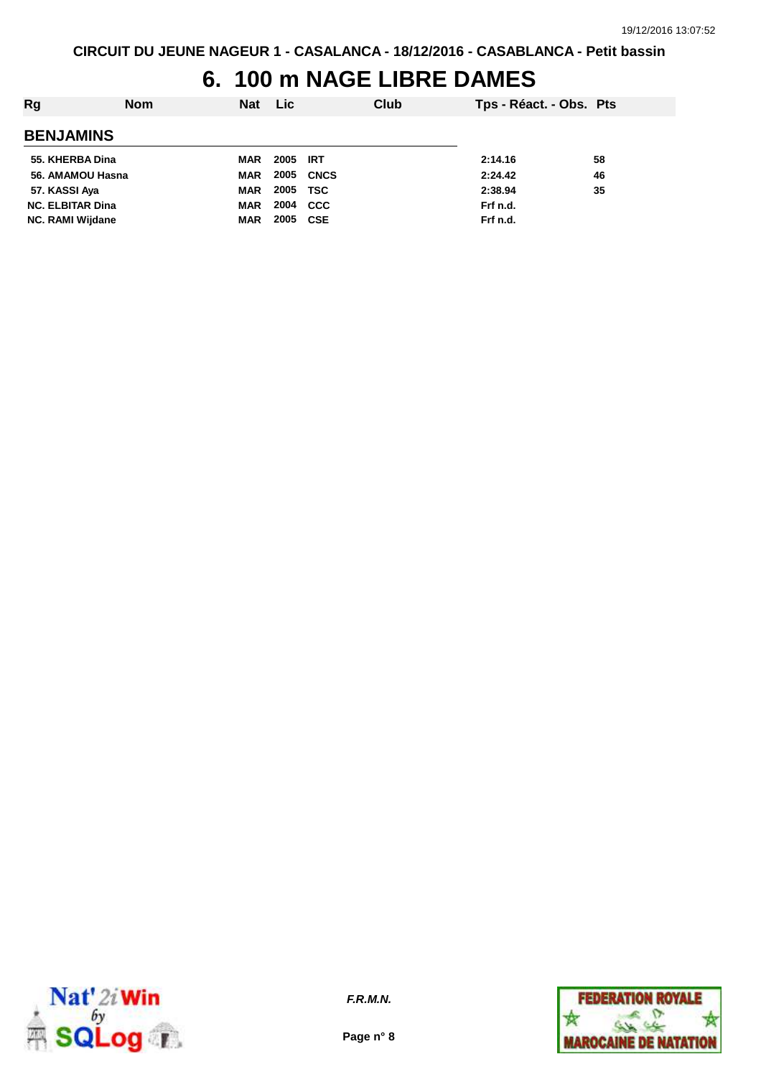## **6. 100 m NAGE LIBRE DAMES**

| Rg                      | <b>Nom</b> | <b>Nat</b> | Lic              |            | Club | Tps - Réact. - Obs. Pts |    |
|-------------------------|------------|------------|------------------|------------|------|-------------------------|----|
| <b>BENJAMINS</b>        |            |            |                  |            |      |                         |    |
| 55. KHERBA Dina         |            | MAR        | 2005 IRT         |            |      | 2:14.16                 | 58 |
| 56. AMAMOU Hasna        |            | <b>MAR</b> | <b>2005 CNCS</b> |            |      | 2:24.42                 | 46 |
| 57. KASSI Aya           |            | <b>MAR</b> | 2005 TSC         |            |      | 2:38.94                 | 35 |
| <b>NC. ELBITAR Dina</b> |            | <b>MAR</b> | 2004             | <b>CCC</b> |      | Frf n.d.                |    |
| <b>NC. RAMI Wijdane</b> |            | <b>MAR</b> | 2005             | CSE        |      | Frf n.d.                |    |



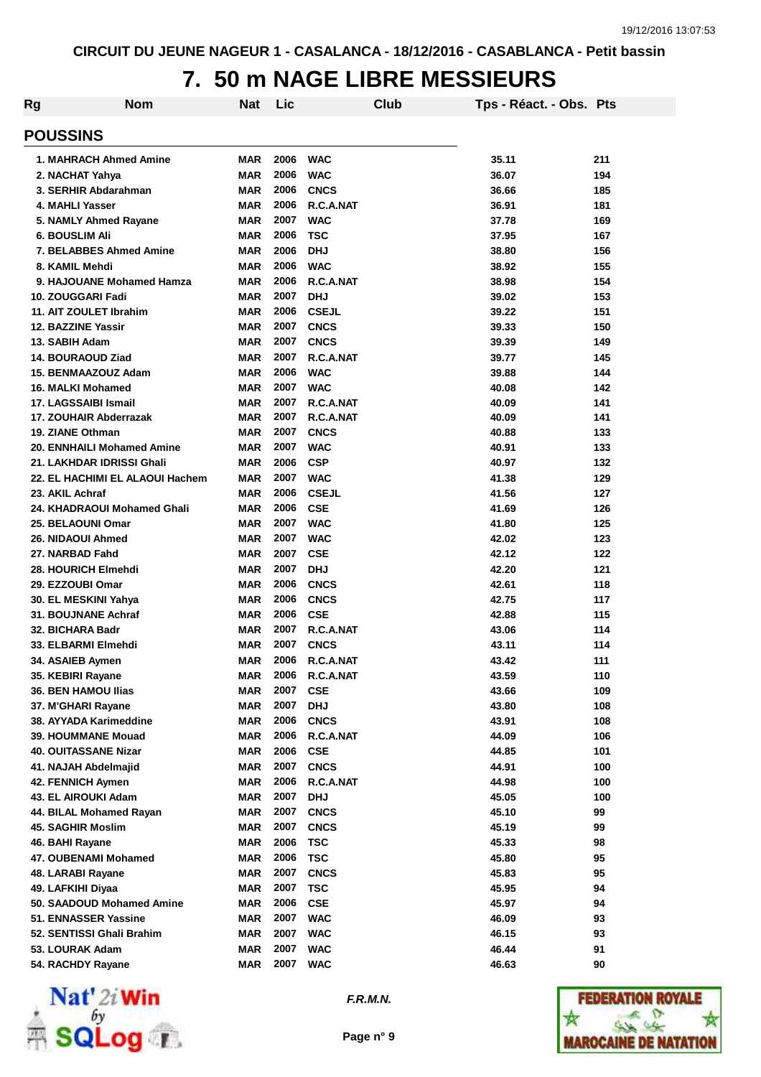## **7. 50 m NAGE LIBRE MESSIEURS**

| Rg | <b>Nom</b>                                   | Nat                      | Lic          |                          | Club | Tps - Réact. - Obs. Pts |            |
|----|----------------------------------------------|--------------------------|--------------|--------------------------|------|-------------------------|------------|
|    | <b>POUSSINS</b>                              |                          |              |                          |      |                         |            |
|    | 1. MAHRACH Ahmed Amine                       | <b>MAR</b>               | 2006         | <b>WAC</b>               |      | 35.11                   | 211        |
|    | 2. NACHAT Yahya                              | <b>MAR</b>               | 2006         | <b>WAC</b>               |      | 36.07                   | 194        |
|    | 3. SERHIR Abdarahman                         | <b>MAR</b>               | 2006         | <b>CNCS</b>              |      | 36.66                   | 185        |
|    | 4. MAHLI Yasser                              | <b>MAR</b>               | 2006         | R.C.A.NAT                |      | 36.91                   | 181        |
|    | 5. NAMLY Ahmed Rayane                        | <b>MAR</b>               | 2007         | <b>WAC</b>               |      | 37.78                   | 169        |
|    | <b>6. BOUSLIM Ali</b>                        | <b>MAR</b>               | 2006         | <b>TSC</b>               |      | 37.95                   | 167        |
|    | <b>7. BELABBES Ahmed Amine</b>               | <b>MAR</b>               | 2006         | <b>DHJ</b>               |      | 38.80                   | 156        |
|    | 8. KAMIL Mehdi                               | <b>MAR</b>               | 2006         | <b>WAC</b>               |      | 38.92                   | 155        |
|    | 9. HAJOUANE Mohamed Hamza                    | <b>MAR</b>               | 2006         | R.C.A.NAT                |      | 38.98                   | 154        |
|    | 10. ZOUGGARI Fadi                            | <b>MAR</b>               | 2007         | <b>DHJ</b>               |      | 39.02                   | 153        |
|    | 11. AIT ZOULET Ibrahim                       | <b>MAR</b>               | 2006         | <b>CSEJL</b>             |      | 39.22                   | 151        |
|    | 12. BAZZINE Yassir                           | <b>MAR</b>               | 2007         | <b>CNCS</b>              |      | 39.33                   | 150        |
|    | 13. SABIH Adam                               | <b>MAR</b>               | 2007         | <b>CNCS</b>              |      | 39.39                   | 149        |
|    | 14. BOURAOUD Ziad                            | <b>MAR</b>               | 2007         | R.C.A.NAT                |      | 39.77                   | 145        |
|    | 15. BENMAAZOUZ Adam                          | <b>MAR</b>               | 2006         | <b>WAC</b>               |      | 39.88                   | 144        |
|    | 16. MALKI Mohamed                            | <b>MAR</b>               | 2007         | <b>WAC</b>               |      | 40.08                   | 142        |
|    | 17. LAGSSAIBI Ismail                         | <b>MAR</b>               | 2007         | R.C.A.NAT                |      | 40.09                   | 141        |
|    | 17. ZOUHAIR Abderrazak                       | <b>MAR</b>               | 2007         | R.C.A.NAT                |      | 40.09                   | 141        |
|    | 19. ZIANE Othman                             | <b>MAR</b>               | 2007         | <b>CNCS</b>              |      | 40.88                   | 133        |
|    | <b>20. ENNHAILI Mohamed Amine</b>            | <b>MAR</b>               | 2007         | <b>WAC</b>               |      | 40.91                   | 133        |
|    | 21. LAKHDAR IDRISSI Ghali                    | <b>MAR</b>               | 2006         | <b>CSP</b>               |      | 40.97                   | 132        |
|    | 22. EL HACHIMI EL ALAOUI Hachem              | <b>MAR</b>               | 2007         | <b>WAC</b>               |      | 41.38                   | 129        |
|    | 23. AKIL Achraf                              | <b>MAR</b>               | 2006         | <b>CSEJL</b>             |      | 41.56                   | 127        |
|    | 24. KHADRAOUI Mohamed Ghali                  | <b>MAR</b>               | 2006         | <b>CSE</b>               |      | 41.69                   | 126        |
|    | 25. BELAOUNI Omar                            | <b>MAR</b>               | 2007         | <b>WAC</b>               |      | 41.80                   | 125        |
|    | 26. NIDAOUI Ahmed                            | <b>MAR</b>               | 2007         | <b>WAC</b>               |      | 42.02                   | 123        |
|    | 27. NARBAD Fahd                              | <b>MAR</b>               | 2007         | <b>CSE</b>               |      | 42.12                   | 122        |
|    | 28. HOURICH Elmehdi                          | <b>MAR</b>               | 2007         | <b>DHJ</b>               |      | 42.20                   | 121        |
|    | 29. EZZOUBI Omar                             | <b>MAR</b>               | 2006         | <b>CNCS</b>              |      | 42.61                   | 118        |
|    | 30. EL MESKINI Yahya                         | <b>MAR</b>               | 2006         | <b>CNCS</b>              |      | 42.75                   | 117        |
|    | 31. BOUJNANE Achraf                          | <b>MAR</b>               | 2006         | <b>CSE</b>               |      | 42.88                   | 115        |
|    | 32. BICHARA Badr                             | <b>MAR</b>               | 2007         | R.C.A.NAT                |      | 43.06                   | 114        |
|    | 33. ELBARMI Elmehdi                          | <b>MAR</b>               | 2007         | <b>CNCS</b>              |      | 43.11                   | 114        |
|    | 34. ASAIEB Aymen                             | <b>MAR</b>               | 2006         | R.C.A.NAT                |      | 43.42                   | 111        |
|    | 35. KEBIRI Rayane                            | <b>MAR</b>               | 2006         | R.C.A.NAT                |      | 43.59                   | 110        |
|    | 36. BEN HAMOU Ilias                          | <b>MAR</b>               | 2007         | <b>CSE</b>               |      | 43.66                   | 109        |
|    | 37. M'GHARI Rayane                           | <b>MAR</b>               | 2007         | <b>DHJ</b>               |      | 43.80                   | 108        |
|    | 38. AYYADA Karimeddine<br>39. HOUMMANE Mouad | <b>MAR</b><br><b>MAR</b> | 2006<br>2006 | <b>CNCS</b><br>R.C.A.NAT |      | 43.91<br>44.09          | 108<br>106 |
|    | <b>40. OUITASSANE Nizar</b>                  | <b>MAR</b>               | 2006         | <b>CSE</b>               |      | 44.85                   | 101        |
|    | 41. NAJAH Abdelmajid                         | <b>MAR</b>               | 2007         | <b>CNCS</b>              |      | 44.91                   | 100        |
|    | 42. FENNICH Aymen                            | <b>MAR</b>               | 2006         | R.C.A.NAT                |      | 44.98                   | 100        |
|    | 43. EL AIROUKI Adam                          | <b>MAR</b>               | 2007         | <b>DHJ</b>               |      | 45.05                   | 100        |
|    | 44. BILAL Mohamed Rayan                      | <b>MAR</b>               | 2007         | <b>CNCS</b>              |      | 45.10                   | 99         |
|    | <b>45. SAGHIR Moslim</b>                     | <b>MAR</b>               | 2007         | <b>CNCS</b>              |      | 45.19                   | 99         |
|    | 46. BAHI Rayane                              | <b>MAR</b>               | 2006         | <b>TSC</b>               |      | 45.33                   | 98         |
|    | 47. OUBENAMI Mohamed                         | <b>MAR</b>               | 2006         | <b>TSC</b>               |      | 45.80                   | 95         |
|    | 48. LARABI Rayane                            | <b>MAR</b>               | 2007         | <b>CNCS</b>              |      | 45.83                   | 95         |
|    | 49. LAFKIHI Diyaa                            | <b>MAR</b>               | 2007         | <b>TSC</b>               |      | 45.95                   | 94         |
|    | 50. SAADOUD Mohamed Amine                    | <b>MAR</b>               | 2006         | <b>CSE</b>               |      | 45.97                   | 94         |
|    | 51. ENNASSER Yassine                         | <b>MAR</b>               | 2007         | <b>WAC</b>               |      | 46.09                   | 93         |
|    | 52. SENTISSI Ghali Brahim                    | <b>MAR</b>               | 2007         | <b>WAC</b>               |      | 46.15                   | 93         |
|    | 53. LOURAK Adam                              | <b>MAR</b>               | 2007         | <b>WAC</b>               |      | 46.44                   | 91         |
|    | 54. RACHDY Rayane                            | <b>MAR</b>               | 2007         | <b>WAC</b>               |      | 46.63                   | 90         |
|    |                                              |                          |              |                          |      |                         |            |



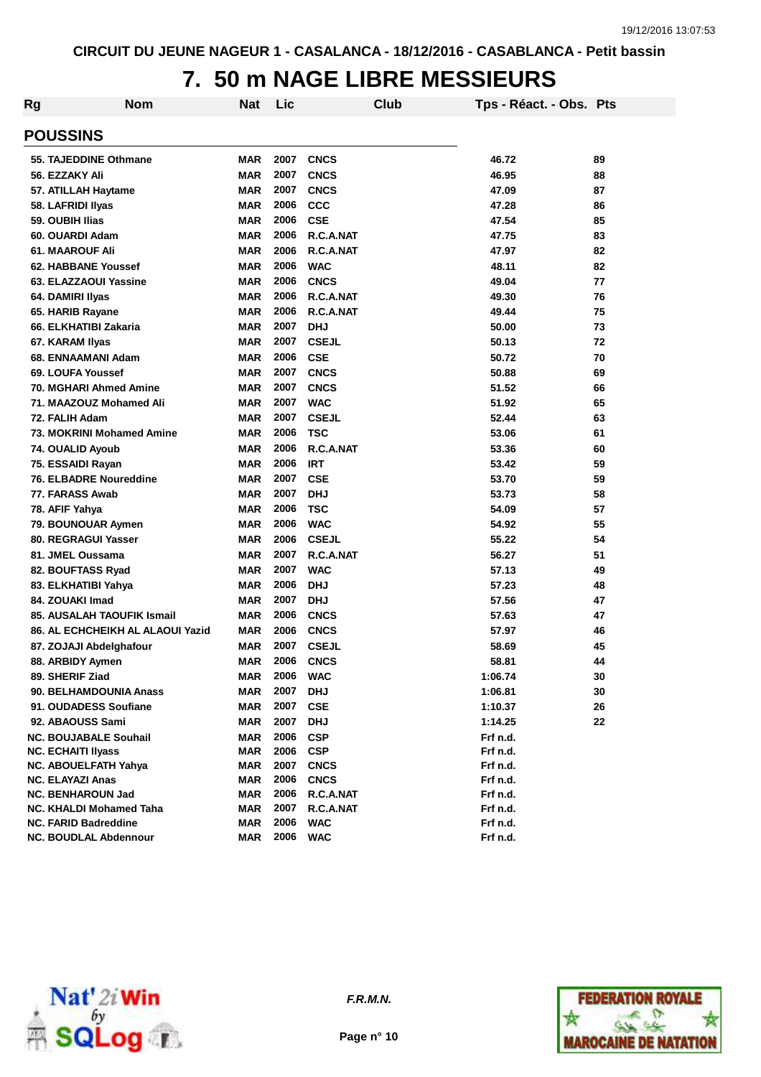### **7. 50 m NAGE LIBRE MESSIEURS**

| Rg | Nom                               | Nat        | Lic      | Club         | Tps - Réact. - Obs. Pts |    |
|----|-----------------------------------|------------|----------|--------------|-------------------------|----|
|    | <b>POUSSINS</b>                   |            |          |              |                         |    |
|    | 55. TAJEDDINE Othmane             | <b>MAR</b> | 2007     | <b>CNCS</b>  | 46.72                   | 89 |
|    | 56. EZZAKY Ali                    | <b>MAR</b> | 2007     | <b>CNCS</b>  | 46.95                   | 88 |
|    | 57. ATILLAH Haytame               | <b>MAR</b> | 2007     | <b>CNCS</b>  | 47.09                   | 87 |
|    | 58. LAFRIDI Ilyas                 | <b>MAR</b> | 2006     | <b>CCC</b>   | 47.28                   | 86 |
|    | 59. OUBIH Ilias                   | <b>MAR</b> | 2006     | <b>CSE</b>   | 47.54                   | 85 |
|    | 60. OUARDI Adam                   | <b>MAR</b> | 2006     | R.C.A.NAT    | 47.75                   | 83 |
|    | <b>61. MAAROUF Ali</b>            | <b>MAR</b> | 2006     | R.C.A.NAT    | 47.97                   | 82 |
|    | <b>62. HABBANE Youssef</b>        | <b>MAR</b> | 2006     | <b>WAC</b>   | 48.11                   | 82 |
|    | 63. ELAZZAOUI Yassine             | <b>MAR</b> | 2006     | <b>CNCS</b>  | 49.04                   | 77 |
|    | 64. DAMIRI Ilyas                  | <b>MAR</b> | 2006     | R.C.A.NAT    | 49.30                   | 76 |
|    | 65. HARIB Rayane                  | <b>MAR</b> | 2006     | R.C.A.NAT    | 49.44                   | 75 |
|    | 66. ELKHATIBI Zakaria             | <b>MAR</b> | 2007     | <b>DHJ</b>   | 50.00                   | 73 |
|    | 67. KARAM Ilyas                   | <b>MAR</b> | 2007     | <b>CSEJL</b> | 50.13                   | 72 |
|    | 68. ENNAAMANI Adam                | <b>MAR</b> | 2006     | <b>CSE</b>   | 50.72                   | 70 |
|    | 69. LOUFA Youssef                 | <b>MAR</b> | 2007     | <b>CNCS</b>  | 50.88                   | 69 |
|    | 70. MGHARI Ahmed Amine            | <b>MAR</b> | 2007     | <b>CNCS</b>  | 51.52                   | 66 |
|    | 71. MAAZOUZ Mohamed Ali           | <b>MAR</b> | 2007     | <b>WAC</b>   | 51.92                   | 65 |
|    | 72. FALIH Adam                    | <b>MAR</b> | 2007     | <b>CSEJL</b> | 52.44                   | 63 |
|    | 73. MOKRINI Mohamed Amine         | <b>MAR</b> | 2006     | <b>TSC</b>   | 53.06                   | 61 |
|    | 74. OUALID Ayoub                  | <b>MAR</b> | 2006     | R.C.A.NAT    | 53.36                   | 60 |
|    | 75. ESSAIDI Rayan                 | <b>MAR</b> | 2006     | <b>IRT</b>   | 53.42                   | 59 |
|    | <b>76. ELBADRE Noureddine</b>     | <b>MAR</b> | 2007     | <b>CSE</b>   | 53.70                   | 59 |
|    | 77. FARASS Awab                   | <b>MAR</b> | 2007     | <b>DHJ</b>   | 53.73                   | 58 |
|    | 78. AFIF Yahya                    | <b>MAR</b> | 2006     | <b>TSC</b>   | 54.09                   | 57 |
|    | 79. BOUNOUAR Aymen                | <b>MAR</b> | 2006     | <b>WAC</b>   | 54.92                   | 55 |
|    | 80. REGRAGUI Yasser               | <b>MAR</b> | 2006     | <b>CSEJL</b> | 55.22                   | 54 |
|    | 81. JMEL Oussama                  | <b>MAR</b> | 2007     | R.C.A.NAT    | 56.27                   | 51 |
|    | 82. BOUFTASS Ryad                 | <b>MAR</b> | 2007     | <b>WAC</b>   | 57.13                   | 49 |
|    | 83. ELKHATIBI Yahya               | <b>MAR</b> | 2006     | <b>DHJ</b>   | 57.23                   | 48 |
|    | 84. ZOUAKI Imad                   | <b>MAR</b> | 2007     | <b>DHJ</b>   | 57.56                   | 47 |
|    | <b>85. AUSALAH TAOUFIK Ismail</b> | <b>MAR</b> | 2006     | <b>CNCS</b>  | 57.63                   | 47 |
|    | 86. AL ECHCHEIKH AL ALAOUI Yazid  | <b>MAR</b> | 2006     | <b>CNCS</b>  | 57.97                   | 46 |
|    | 87. ZOJAJI Abdelghafour           | <b>MAR</b> | 2007     | <b>CSEJL</b> | 58.69                   | 45 |
|    | 88. ARBIDY Aymen                  | <b>MAR</b> | 2006     | <b>CNCS</b>  | 58.81                   | 44 |
|    | 89. SHERIF Ziad                   | MAR        | 2006 WAC |              | 1:06.74                 | 30 |
|    | 90. BELHAMDOUNIA Anass            | <b>MAR</b> | 2007     | <b>DHJ</b>   | 1:06.81                 | 30 |
|    | 91. OUDADESS Soufiane             | <b>MAR</b> | 2007     | <b>CSE</b>   | 1:10.37                 | 26 |
|    | 92. ABAOUSS Sami                  | <b>MAR</b> | 2007     | <b>DHJ</b>   | 1:14.25                 | 22 |
|    | <b>NC. BOUJABALE Souhail</b>      | <b>MAR</b> | 2006     | <b>CSP</b>   | Frf n.d.                |    |
|    | <b>NC. ECHAITI Ilyass</b>         | <b>MAR</b> | 2006 CSP |              | Frf n.d.                |    |
|    | <b>NC. ABOUELFATH Yahya</b>       | <b>MAR</b> | 2007     | <b>CNCS</b>  | Frf n.d.                |    |
|    | <b>NC. ELAYAZI Anas</b>           | <b>MAR</b> | 2006     | <b>CNCS</b>  | Frf n.d.                |    |
|    | <b>NC. BENHAROUN Jad</b>          | <b>MAR</b> | 2006     | R.C.A.NAT    | Frf n.d.                |    |
|    | NC. KHALDI Mohamed Taha           | <b>MAR</b> | 2007     | R.C.A.NAT    | Frf n.d.                |    |
|    | <b>NC. FARID Badreddine</b>       | <b>MAR</b> | 2006     | <b>WAC</b>   | Frf n.d.                |    |
|    | <b>NC. BOUDLAL Abdennour</b>      | <b>MAR</b> | 2006     | <b>WAC</b>   | Frf n.d.                |    |



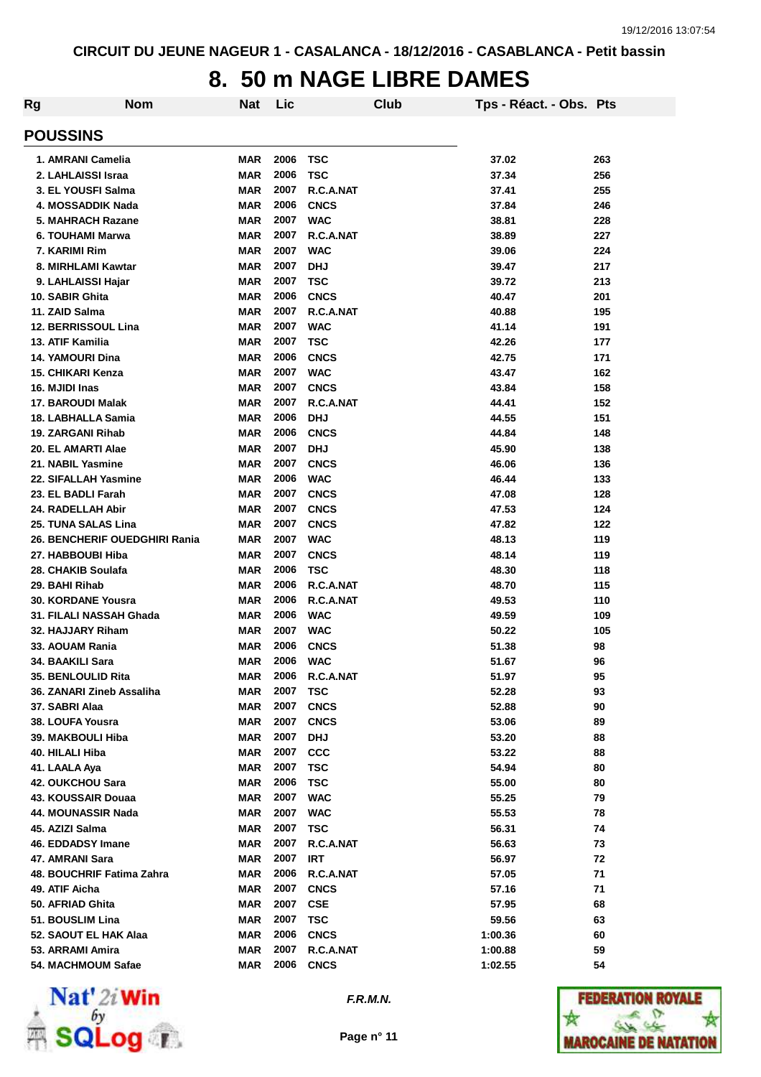### **8. 50 m NAGE LIBRE DAMES**

| <b>Rg</b>                             | <b>Nom</b>                    | Nat                      | Lic          |                          | Club | Tps - Réact. - Obs. Pts |          |
|---------------------------------------|-------------------------------|--------------------------|--------------|--------------------------|------|-------------------------|----------|
| <b>POUSSINS</b>                       |                               |                          |              |                          |      |                         |          |
| 1. AMRANI Camelia                     |                               | <b>MAR</b>               | 2006         | <b>TSC</b>               |      | 37.02                   | 263      |
| 2. LAHLAISSI Israa                    |                               | <b>MAR</b>               | 2006         | <b>TSC</b>               |      | 37.34                   | 256      |
| 3. EL YOUSFI Salma                    |                               | <b>MAR</b>               | 2007         | R.C.A.NAT                |      | 37.41                   | 255      |
| 4. MOSSADDIK Nada                     |                               | <b>MAR</b>               | 2006         | <b>CNCS</b>              |      | 37.84                   | 246      |
| 5. MAHRACH Razane                     |                               | <b>MAR</b>               | 2007         | <b>WAC</b>               |      | 38.81                   | 228      |
| 6. TOUHAMI Marwa                      |                               | <b>MAR</b>               | 2007         | R.C.A.NAT                |      | 38.89                   | 227      |
| 7. KARIMI Rim                         |                               | <b>MAR</b>               | 2007         | <b>WAC</b>               |      | 39.06                   | 224      |
| 8. MIRHLAMI Kawtar                    |                               | <b>MAR</b>               | 2007         | <b>DHJ</b>               |      | 39.47                   | 217      |
| 9. LAHLAISSI Hajar                    |                               | <b>MAR</b>               | 2007         | <b>TSC</b>               |      | 39.72                   | 213      |
| 10. SABIR Ghita                       |                               | <b>MAR</b>               | 2006         | <b>CNCS</b>              |      | 40.47                   | 201      |
| 11. ZAID Salma                        |                               | <b>MAR</b>               | 2007         | R.C.A.NAT                |      | 40.88                   | 195      |
| <b>12. BERRISSOUL Lina</b>            |                               | <b>MAR</b>               | 2007         | <b>WAC</b>               |      | 41.14                   | 191      |
| 13. ATIF Kamilia                      |                               | <b>MAR</b>               | 2007         | <b>TSC</b>               |      | 42.26                   | 177      |
| 14. YAMOURI Dina                      |                               | <b>MAR</b>               | 2006         | <b>CNCS</b>              |      | 42.75                   | 171      |
| 15. CHIKARI Kenza                     |                               | <b>MAR</b>               | 2007         | <b>WAC</b>               |      | 43.47                   | 162      |
| 16. MJIDI Inas                        |                               | <b>MAR</b>               | 2007         | <b>CNCS</b>              |      | 43.84                   | 158      |
| 17. BAROUDI Malak                     |                               | <b>MAR</b>               | 2007         | R.C.A.NAT                |      | 44.41                   | 152      |
| 18. LABHALLA Samia                    |                               | <b>MAR</b>               | 2006         | <b>DHJ</b>               |      | 44.55                   | 151      |
| 19. ZARGANI Rihab                     |                               | <b>MAR</b>               | 2006         | <b>CNCS</b>              |      | 44.84                   | 148      |
| 20. EL AMARTI Alae                    |                               | <b>MAR</b>               | 2007         | <b>DHJ</b>               |      | 45.90                   | 138      |
| 21. NABIL Yasmine                     |                               | <b>MAR</b>               | 2007         | <b>CNCS</b>              |      | 46.06                   | 136      |
| 22. SIFALLAH Yasmine                  |                               | <b>MAR</b>               | 2006         | <b>WAC</b>               |      | 46.44                   | 133      |
| 23. EL BADLI Farah                    |                               | <b>MAR</b>               | 2007         | <b>CNCS</b>              |      | 47.08                   | 128      |
| 24. RADELLAH Abir                     |                               | <b>MAR</b>               | 2007         | <b>CNCS</b>              |      | 47.53                   | 124      |
| 25. TUNA SALAS Lina                   |                               | <b>MAR</b>               | 2007         | <b>CNCS</b>              |      | 47.82                   | 122      |
|                                       | 26. BENCHERIF OUEDGHIRI Rania | <b>MAR</b>               | 2007         | <b>WAC</b>               |      | 48.13                   | 119      |
| 27. HABBOUBI Hiba                     |                               | <b>MAR</b>               | 2007         | <b>CNCS</b>              |      | 48.14                   | 119      |
| 28. CHAKIB Soulafa                    |                               | <b>MAR</b>               | 2006         | <b>TSC</b>               |      | 48.30                   | 118      |
| 29. BAHI Rihab                        |                               | <b>MAR</b>               | 2006         | R.C.A.NAT                |      | 48.70                   | 115      |
| <b>30. KORDANE Yousra</b>             |                               | MAR                      | 2006         | R.C.A.NAT                |      | 49.53                   | 110      |
| 31. FILALI NASSAH Ghada               |                               | <b>MAR</b>               | 2006         | <b>WAC</b>               |      | 49.59                   | 109      |
| 32. HAJJARY Riham                     |                               | MAR                      | 2007         | <b>WAC</b>               |      | 50.22                   | 105      |
| 33. AOUAM Rania                       |                               | MAR                      | 2006         | <b>CNCS</b>              |      | 51.38                   | 98       |
| 34. BAAKILI Sara                      |                               | <b>MAR</b>               | 2006         | <b>WAC</b>               |      | 51.67                   | 96       |
| 35. BENLOULID Rita                    |                               | MAR                      | 2006         | R.C.A.NAT                |      | 51.97                   | 95       |
| 36. ZANARI Zineb Assaliha             |                               | <b>MAR</b>               | 2007         | <b>TSC</b>               |      | 52.28                   | 93       |
| 37. SABRI Alaa                        |                               | <b>MAR</b>               | 2007<br>2007 | <b>CNCS</b>              |      | 52.88                   | 90       |
| 38. LOUFA Yousra<br>39. MAKBOULI Hiba |                               | <b>MAR</b>               | 2007         | <b>CNCS</b>              |      | 53.06                   | 89       |
| 40. HILALI Hiba                       |                               | <b>MAR</b><br><b>MAR</b> | 2007         | <b>DHJ</b><br><b>CCC</b> |      | 53.20<br>53.22          | 88<br>88 |
| 41. LAALA Aya                         |                               | <b>MAR</b>               | 2007         | <b>TSC</b>               |      | 54.94                   | 80       |
| 42. OUKCHOU Sara                      |                               | <b>MAR</b>               | 2006         | <b>TSC</b>               |      | 55.00                   | 80       |
| 43. KOUSSAIR Douaa                    |                               | <b>MAR</b>               | 2007         | <b>WAC</b>               |      | 55.25                   | 79       |
| 44. MOUNASSIR Nada                    |                               | <b>MAR</b>               | 2007         | <b>WAC</b>               |      | 55.53                   | 78       |
| 45. AZIZI Salma                       |                               | <b>MAR</b>               | 2007         | <b>TSC</b>               |      | 56.31                   | 74       |
| 46. EDDADSY Imane                     |                               | MAR                      | 2007         | R.C.A.NAT                |      | 56.63                   | 73       |
| 47. AMRANI Sara                       |                               | <b>MAR</b>               | 2007         | <b>IRT</b>               |      | 56.97                   | 72       |
| 48. BOUCHRIF Fatima Zahra             |                               | <b>MAR</b>               | 2006         | R.C.A.NAT                |      | 57.05                   | 71       |
| 49. ATIF Aicha                        |                               | <b>MAR</b>               | 2007         | <b>CNCS</b>              |      | 57.16                   | 71       |
| 50. AFRIAD Ghita                      |                               | <b>MAR</b>               | 2007         | <b>CSE</b>               |      | 57.95                   | 68       |
| 51. BOUSLIM Lina                      |                               | <b>MAR</b>               | 2007         | <b>TSC</b>               |      | 59.56                   | 63       |
| 52. SAOUT EL HAK Alaa                 |                               | <b>MAR</b>               | 2006         | <b>CNCS</b>              |      | 1:00.36                 | 60       |
| 53. ARRAMI Amira                      |                               | <b>MAR</b>               | 2007         | R.C.A.NAT                |      | 1:00.88                 | 59       |
| 54. MACHMOUM Safae                    |                               | <b>MAR</b>               | 2006         | <b>CNCS</b>              |      | 1:02.55                 | 54       |



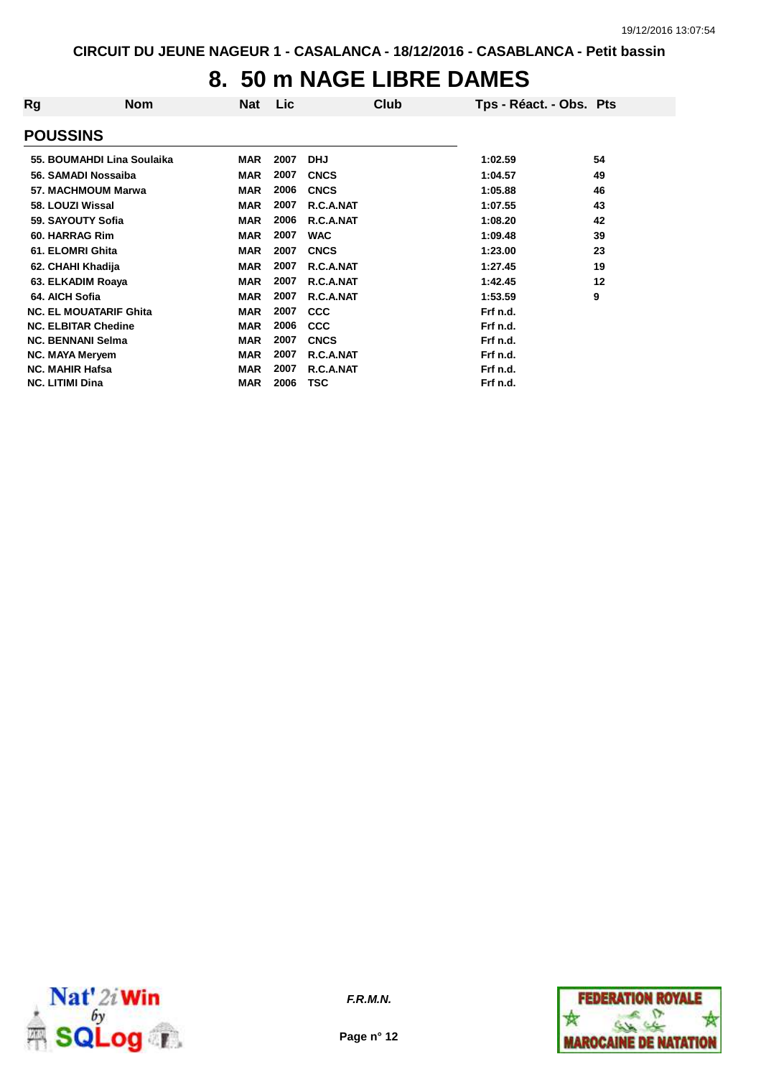#### **8. 50 m NAGE LIBRE DAMES**

| Rg                     | <b>Nom</b>                    | Nat        | Lic  | Club        | Tps - Réact. - Obs. Pts |    |
|------------------------|-------------------------------|------------|------|-------------|-------------------------|----|
| <b>POUSSINS</b>        |                               |            |      |             |                         |    |
|                        | 55. BOUMAHDI Lina Soulaika    | <b>MAR</b> | 2007 | <b>DHJ</b>  | 1:02.59                 | 54 |
|                        | 56. SAMADI Nossaiba           | <b>MAR</b> | 2007 | <b>CNCS</b> | 1:04.57                 | 49 |
|                        | 57. MACHMOUM Marwa            | <b>MAR</b> | 2006 | <b>CNCS</b> | 1:05.88                 | 46 |
|                        | 58. LOUZI Wissal              | <b>MAR</b> | 2007 | R.C.A.NAT   | 1:07.55                 | 43 |
|                        | 59. SAYOUTY Sofia             | <b>MAR</b> | 2006 | R.C.A.NAT   | 1:08.20                 | 42 |
|                        | 60. HARRAG Rim                | <b>MAR</b> | 2007 | <b>WAC</b>  | 1:09.48                 | 39 |
|                        | 61. ELOMRI Ghita              | <b>MAR</b> | 2007 | <b>CNCS</b> | 1:23.00                 | 23 |
|                        | 62. CHAHI Khadija             | <b>MAR</b> | 2007 | R.C.A.NAT   | 1:27.45                 | 19 |
|                        | 63. ELKADIM Roaya             | <b>MAR</b> | 2007 | R.C.A.NAT   | 1:42.45                 | 12 |
| 64. AICH Sofia         |                               | <b>MAR</b> | 2007 | R.C.A.NAT   | 1:53.59                 | 9  |
|                        | <b>NC. EL MOUATARIF Ghita</b> | <b>MAR</b> | 2007 | <b>CCC</b>  | Frf n.d.                |    |
|                        | <b>NC. ELBITAR Chedine</b>    | <b>MAR</b> | 2006 | <b>CCC</b>  | Frf n.d.                |    |
|                        | <b>NC. BENNANI Selma</b>      | <b>MAR</b> | 2007 | <b>CNCS</b> | Frf n.d.                |    |
|                        | <b>NC. MAYA Meryem</b>        | <b>MAR</b> | 2007 | R.C.A.NAT   | Frf n.d.                |    |
|                        | <b>NC. MAHIR Hafsa</b>        | <b>MAR</b> | 2007 | R.C.A.NAT   | Frf n.d.                |    |
| <b>NC. LITIMI Dina</b> |                               | <b>MAR</b> | 2006 | <b>TSC</b>  | Frf n.d.                |    |



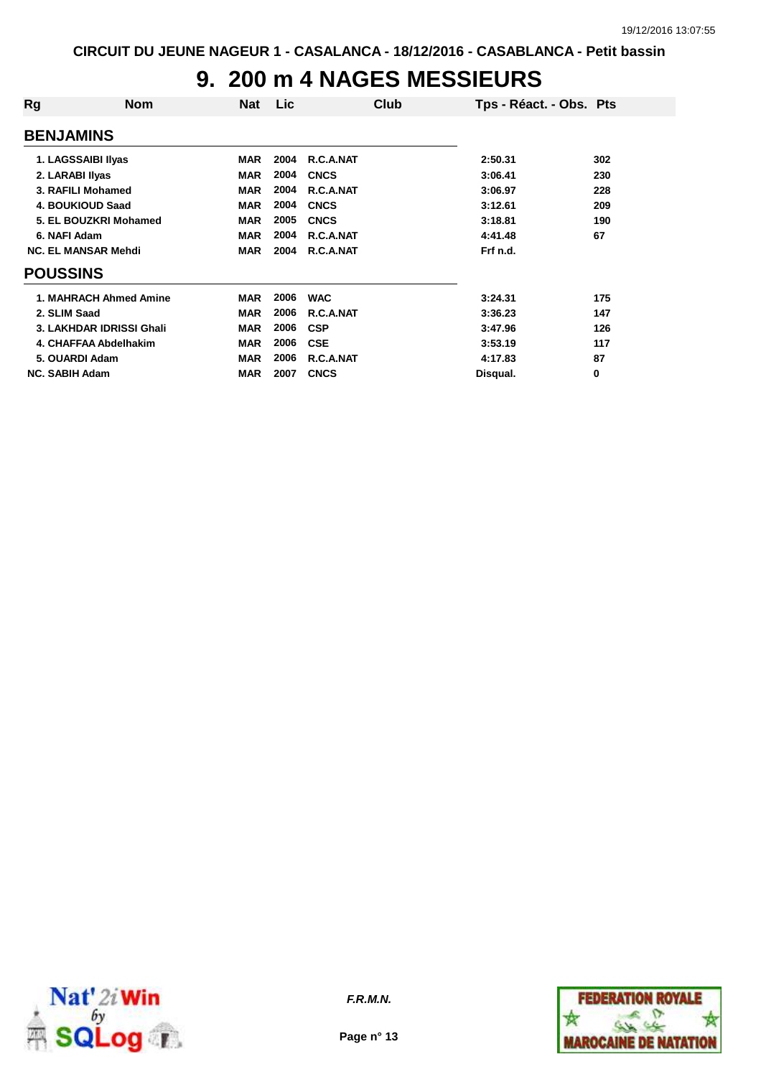# **9. 200 m 4 NAGES MESSIEURS**

| Rg                    | <b>Nom</b>                 | Nat        | Lic. | Club        | Tps - Réact. - Obs. Pts |     |
|-----------------------|----------------------------|------------|------|-------------|-------------------------|-----|
| <b>BENJAMINS</b>      |                            |            |      |             |                         |     |
|                       | 1. LAGSSAIBI IIyas         | <b>MAR</b> | 2004 | R.C.A.NAT   | 2:50.31                 | 302 |
|                       | 2. LARABI Ilyas            | <b>MAR</b> | 2004 | <b>CNCS</b> | 3:06.41                 | 230 |
|                       | 3. RAFILI Mohamed          | <b>MAR</b> | 2004 | R.C.A.NAT   | 3:06.97                 | 228 |
|                       | 4. BOUKIOUD Saad           | <b>MAR</b> | 2004 | <b>CNCS</b> | 3:12.61                 | 209 |
|                       | 5. EL BOUZKRI Mohamed      | <b>MAR</b> | 2005 | <b>CNCS</b> | 3:18.81                 | 190 |
| 6. NAFI Adam          |                            | <b>MAR</b> | 2004 | R.C.A.NAT   | 4:41.48                 | 67  |
|                       | <b>NC. EL MANSAR Mehdi</b> | <b>MAR</b> | 2004 | R.C.A.NAT   | Frf n.d.                |     |
| <b>POUSSINS</b>       |                            |            |      |             |                         |     |
|                       | 1. MAHRACH Ahmed Amine     | <b>MAR</b> | 2006 | <b>WAC</b>  | 3:24.31                 | 175 |
| 2. SLIM Saad          |                            | <b>MAR</b> | 2006 | R.C.A.NAT   | 3:36.23                 | 147 |
|                       | 3. LAKHDAR IDRISSI Ghali   | <b>MAR</b> | 2006 | <b>CSP</b>  | 3:47.96                 | 126 |
|                       | 4. CHAFFAA Abdelhakim      | <b>MAR</b> | 2006 | <b>CSE</b>  | 3:53.19                 | 117 |
|                       | 5. OUARDI Adam             | <b>MAR</b> | 2006 | R.C.A.NAT   | 4:17.83                 | 87  |
| <b>NC. SABIH Adam</b> |                            | <b>MAR</b> | 2007 | <b>CNCS</b> | Disqual.                | 0   |



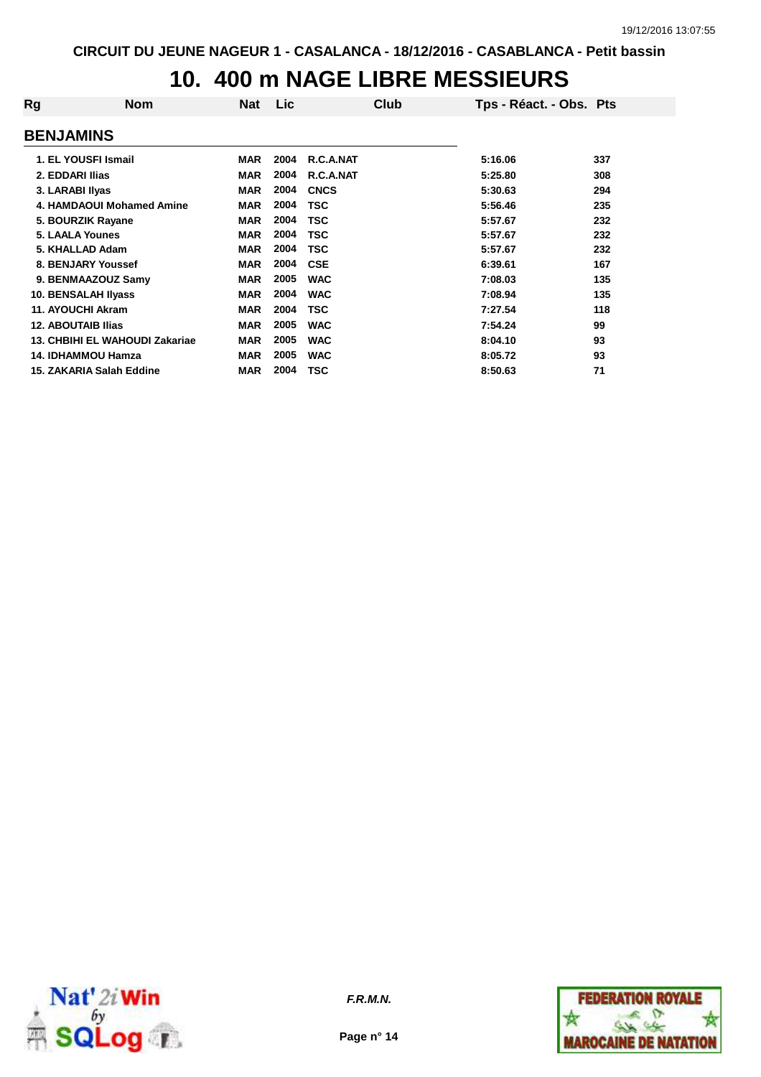## **10. 400 m NAGE LIBRE MESSIEURS**

| Rg                        | <b>Nom</b>                     | Nat        | <b>Lic</b> | Club        | Tps - Réact. - Obs. Pts |     |
|---------------------------|--------------------------------|------------|------------|-------------|-------------------------|-----|
| <b>BENJAMINS</b>          |                                |            |            |             |                         |     |
|                           | 1. EL YOUSFI Ismail            | <b>MAR</b> | 2004       | R.C.A.NAT   | 5:16.06                 | 337 |
| 2. EDDARI Ilias           |                                | <b>MAR</b> | 2004       | R.C.A.NAT   | 5:25.80                 | 308 |
| 3. LARABI IIyas           |                                | <b>MAR</b> | 2004       | <b>CNCS</b> | 5:30.63                 | 294 |
|                           | 4. HAMDAOUI Mohamed Amine      | <b>MAR</b> | 2004       | <b>TSC</b>  | 5:56.46                 | 235 |
|                           | 5. BOURZIK Rayane              | <b>MAR</b> | 2004       | <b>TSC</b>  | 5:57.67                 | 232 |
|                           | 5. LAALA Younes                | <b>MAR</b> | 2004       | <b>TSC</b>  | 5:57.67                 | 232 |
|                           | 5. KHALLAD Adam                | <b>MAR</b> | 2004       | <b>TSC</b>  | 5:57.67                 | 232 |
|                           | 8. BENJARY Youssef             | <b>MAR</b> | 2004       | <b>CSE</b>  | 6:39.61                 | 167 |
|                           | 9. BENMAAZOUZ Samy             | <b>MAR</b> | 2005       | <b>WAC</b>  | 7:08.03                 | 135 |
|                           | 10. BENSALAH IIyass            | <b>MAR</b> | 2004       | <b>WAC</b>  | 7:08.94                 | 135 |
|                           | 11. AYOUCHI Akram              | <b>MAR</b> | 2004       | <b>TSC</b>  | 7:27.54                 | 118 |
| <b>12. ABOUTAIB Ilias</b> |                                | <b>MAR</b> | 2005       | <b>WAC</b>  | 7:54.24                 | 99  |
|                           | 13. CHBIHI EL WAHOUDI Zakariae | <b>MAR</b> | 2005       | <b>WAC</b>  | 8:04.10                 | 93  |
|                           | <b>14. IDHAMMOU Hamza</b>      | <b>MAR</b> | 2005       | <b>WAC</b>  | 8:05.72                 | 93  |
|                           | 15. ZAKARIA Salah Eddine       | <b>MAR</b> | 2004       | <b>TSC</b>  | 8:50.63                 | 71  |



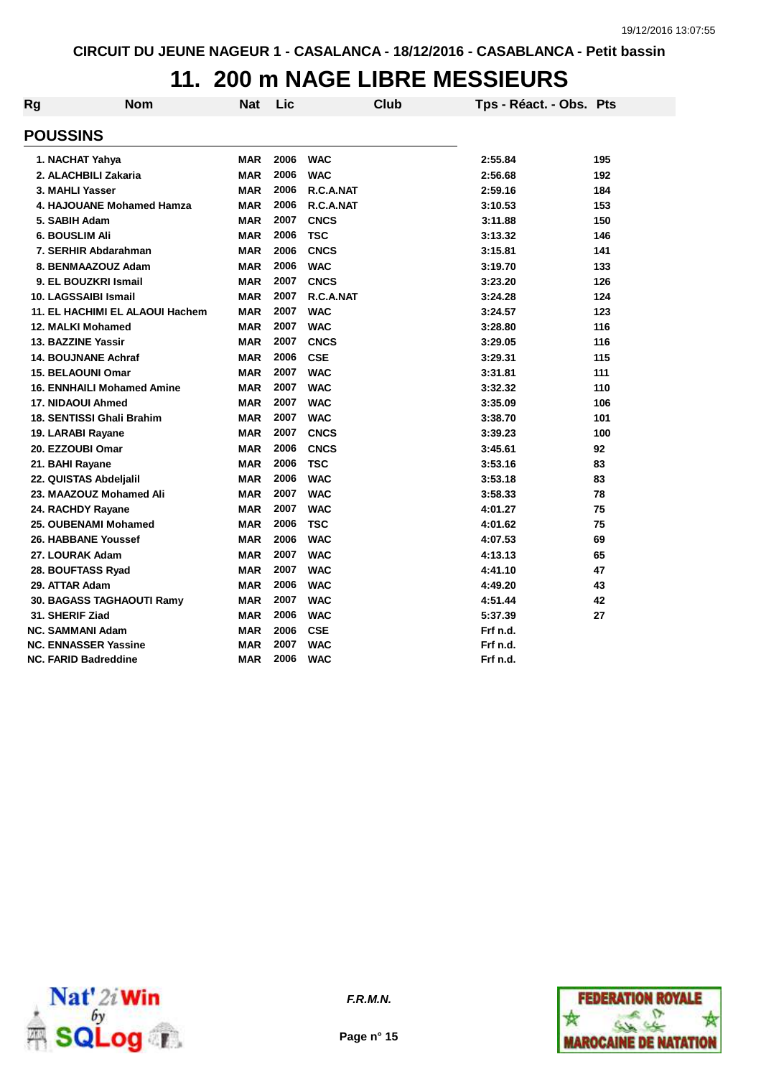### **11. 200 m NAGE LIBRE MESSIEURS**

| Rg | <b>Nom</b>                        | Nat        | Lic  | <b>Club</b> | Tps - Réact. - Obs. Pts |     |
|----|-----------------------------------|------------|------|-------------|-------------------------|-----|
|    | <b>POUSSINS</b>                   |            |      |             |                         |     |
|    | 1. NACHAT Yahya                   | MAR        | 2006 | <b>WAC</b>  | 2:55.84                 | 195 |
|    | 2. ALACHBILI Zakaria              | <b>MAR</b> | 2006 | <b>WAC</b>  | 2:56.68                 | 192 |
|    | 3. MAHLI Yasser                   | <b>MAR</b> | 2006 | R.C.A.NAT   | 2:59.16                 | 184 |
|    | 4. HAJOUANE Mohamed Hamza         | <b>MAR</b> | 2006 | R.C.A.NAT   | 3:10.53                 | 153 |
|    | 5. SABIH Adam                     | <b>MAR</b> | 2007 | <b>CNCS</b> | 3:11.88                 | 150 |
|    | 6. BOUSLIM Ali                    | <b>MAR</b> | 2006 | <b>TSC</b>  | 3:13.32                 | 146 |
|    | 7. SERHIR Abdarahman              | <b>MAR</b> | 2006 | <b>CNCS</b> | 3:15.81                 | 141 |
|    | 8. BENMAAZOUZ Adam                | <b>MAR</b> | 2006 | <b>WAC</b>  | 3:19.70                 | 133 |
|    | 9. EL BOUZKRI Ismail              | <b>MAR</b> | 2007 | <b>CNCS</b> | 3:23.20                 | 126 |
|    | 10. LAGSSAIBI Ismail              | <b>MAR</b> | 2007 | R.C.A.NAT   | 3:24.28                 | 124 |
|    | 11. EL HACHIMI EL ALAOUI Hachem   | <b>MAR</b> | 2007 | <b>WAC</b>  | 3:24.57                 | 123 |
|    | <b>12. MALKI Mohamed</b>          | <b>MAR</b> | 2007 | <b>WAC</b>  | 3:28.80                 | 116 |
|    | 13. BAZZINE Yassir                | <b>MAR</b> | 2007 | <b>CNCS</b> | 3:29.05                 | 116 |
|    | <b>14. BOUJNANE Achraf</b>        | <b>MAR</b> | 2006 | <b>CSE</b>  | 3:29.31                 | 115 |
|    | <b>15. BELAOUNI Omar</b>          | <b>MAR</b> | 2007 | <b>WAC</b>  | 3:31.81                 | 111 |
|    | <b>16. ENNHAILI Mohamed Amine</b> | <b>MAR</b> | 2007 | <b>WAC</b>  | 3:32.32                 | 110 |
|    | 17. NIDAOUI Ahmed                 | <b>MAR</b> | 2007 | <b>WAC</b>  | 3:35.09                 | 106 |
|    | <b>18. SENTISSI Ghali Brahim</b>  | <b>MAR</b> | 2007 | <b>WAC</b>  | 3:38.70                 | 101 |
|    | 19. LARABI Rayane                 | <b>MAR</b> | 2007 | <b>CNCS</b> | 3:39.23                 | 100 |
|    | 20. EZZOUBI Omar                  | <b>MAR</b> | 2006 | <b>CNCS</b> | 3:45.61                 | 92  |
|    | 21. BAHI Rayane                   | <b>MAR</b> | 2006 | <b>TSC</b>  | 3:53.16                 | 83  |
|    | 22. QUISTAS Abdelialil            | MAR        | 2006 | <b>WAC</b>  | 3:53.18                 | 83  |
|    | 23. MAAZOUZ Mohamed Ali           | <b>MAR</b> | 2007 | <b>WAC</b>  | 3:58.33                 | 78  |
|    | 24. RACHDY Rayane                 | <b>MAR</b> | 2007 | <b>WAC</b>  | 4:01.27                 | 75  |
|    | 25. OUBENAMI Mohamed              | <b>MAR</b> | 2006 | <b>TSC</b>  | 4:01.62                 | 75  |
|    | 26. HABBANE Youssef               | <b>MAR</b> | 2006 | <b>WAC</b>  | 4:07.53                 | 69  |
|    | 27. LOURAK Adam                   | <b>MAR</b> | 2007 | <b>WAC</b>  | 4:13.13                 | 65  |
|    | 28. BOUFTASS Ryad                 | <b>MAR</b> | 2007 | <b>WAC</b>  | 4:41.10                 | 47  |
|    | 29. ATTAR Adam                    | <b>MAR</b> | 2006 | <b>WAC</b>  | 4:49.20                 | 43  |
|    | 30. BAGASS TAGHAOUTI Ramy         | MAR        | 2007 | <b>WAC</b>  | 4:51.44                 | 42  |
|    | 31. SHERIF Ziad                   | <b>MAR</b> | 2006 | <b>WAC</b>  | 5:37.39                 | 27  |
|    | NC. SAMMANI Adam                  | <b>MAR</b> | 2006 | <b>CSE</b>  | Frf n.d.                |     |
|    | <b>NC. ENNASSER Yassine</b>       | MAR        | 2007 | <b>WAC</b>  | Frf n.d.                |     |
|    | NC. FARID Badreddine              | MAR        | 2006 | <b>WAC</b>  | Frf n.d.                |     |





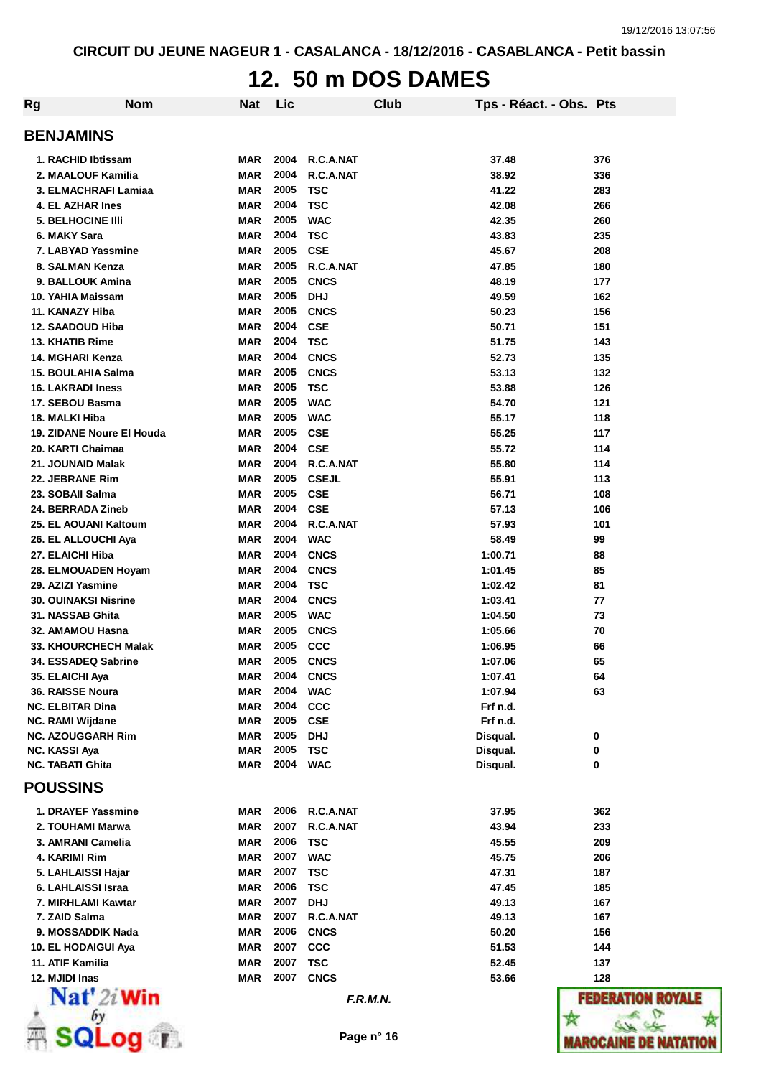### **12. 50 m DOS DAMES**

| Rg | <b>Nom</b>                                  | Nat                      | Lic          |                           | Club | Tps - Réact. - Obs. Pts |               |
|----|---------------------------------------------|--------------------------|--------------|---------------------------|------|-------------------------|---------------|
|    | <b>BENJAMINS</b>                            |                          |              |                           |      |                         |               |
|    | 1. RACHID Ibtissam                          | <b>MAR</b>               | 2004         | R.C.A.NAT                 |      | 37.48                   | 376           |
|    | 2. MAALOUF Kamilia                          | <b>MAR</b>               | 2004         | R.C.A.NAT                 |      | 38.92                   | 336           |
|    | 3. ELMACHRAFI Lamiaa                        | <b>MAR</b>               | 2005         | <b>TSC</b>                |      | 41.22                   | 283           |
|    | 4. EL AZHAR Ines                            | <b>MAR</b>               | 2004         | <b>TSC</b>                |      | 42.08                   | 266           |
|    | <b>5. BELHOCINE IIII</b>                    | <b>MAR</b>               | 2005         | <b>WAC</b>                |      | 42.35                   | 260           |
|    | 6. MAKY Sara                                | <b>MAR</b>               | 2004         | <b>TSC</b>                |      | 43.83                   | 235           |
|    | 7. LABYAD Yassmine                          | <b>MAR</b>               | 2005         | <b>CSE</b>                |      | 45.67                   | 208           |
|    | 8. SALMAN Kenza                             | <b>MAR</b>               | 2005         | R.C.A.NAT                 |      | 47.85                   | 180           |
|    | 9. BALLOUK Amina                            | <b>MAR</b>               | 2005         | <b>CNCS</b>               |      | 48.19                   | 177           |
|    | 10. YAHIA Maissam                           | <b>MAR</b>               | 2005         | <b>DHJ</b>                |      | 49.59                   | 162           |
|    | 11. KANAZY Hiba                             | <b>MAR</b>               | 2005         | <b>CNCS</b>               |      | 50.23                   | 156           |
|    | 12. SAADOUD Hiba                            | <b>MAR</b>               | 2004         | <b>CSE</b>                |      | 50.71                   | 151           |
|    | 13. KHATIB Rime                             | <b>MAR</b>               | 2004         | <b>TSC</b>                |      | 51.75                   | 143           |
|    | 14. MGHARI Kenza                            | <b>MAR</b>               | 2004<br>2005 | <b>CNCS</b>               |      | 52.73                   | 135           |
|    | 15. BOULAHIA Salma                          | <b>MAR</b>               | 2005         | <b>CNCS</b><br><b>TSC</b> |      | 53.13<br>53.88          | 132<br>126    |
|    | <b>16. LAKRADI Iness</b><br>17. SEBOU Basma | <b>MAR</b><br><b>MAR</b> | 2005         | <b>WAC</b>                |      | 54.70                   | 121           |
|    | 18. MALKI Hiba                              | <b>MAR</b>               | 2005         | <b>WAC</b>                |      | 55.17                   | 118           |
|    | 19. ZIDANE Noure El Houda                   | <b>MAR</b>               | 2005         | <b>CSE</b>                |      | 55.25                   | 117           |
|    | 20. KARTI Chaimaa                           | <b>MAR</b>               | 2004         | <b>CSE</b>                |      | 55.72                   | 114           |
|    | 21. JOUNAID Malak                           | <b>MAR</b>               | 2004         | R.C.A.NAT                 |      | 55.80                   | 114           |
|    | 22. JEBRANE Rim                             | <b>MAR</b>               | 2005         | <b>CSEJL</b>              |      | 55.91                   | 113           |
|    | 23. SOBAII Salma                            | <b>MAR</b>               | 2005         | <b>CSE</b>                |      | 56.71                   | 108           |
|    | 24. BERRADA Zineb                           | <b>MAR</b>               | 2004         | <b>CSE</b>                |      | 57.13                   | 106           |
|    | 25. EL AOUANI Kaltoum                       | <b>MAR</b>               | 2004         | R.C.A.NAT                 |      | 57.93                   | 101           |
|    | 26. EL ALLOUCHI Aya                         | <b>MAR</b>               | 2004         | <b>WAC</b>                |      | 58.49                   | 99            |
|    | 27. ELAICHI Hiba                            | <b>MAR</b>               | 2004         | <b>CNCS</b>               |      | 1:00.71                 | 88            |
|    | 28. ELMOUADEN Hoyam                         | <b>MAR</b>               | 2004         | <b>CNCS</b>               |      | 1:01.45                 | 85            |
|    | 29. AZIZI Yasmine                           | <b>MAR</b>               | 2004         | <b>TSC</b>                |      | 1:02.42                 | 81            |
|    | <b>30. OUINAKSI Nisrine</b>                 | <b>MAR</b>               | 2004         | <b>CNCS</b>               |      | 1:03.41                 | 77            |
|    | 31. NASSAB Ghita                            | <b>MAR</b>               | 2005         | <b>WAC</b>                |      | 1:04.50                 | 73            |
|    | 32. AMAMOU Hasna                            | <b>MAR</b>               | 2005         | <b>CNCS</b>               |      | 1:05.66                 | 70            |
|    | 33. KHOURCHECH Malak                        | <b>MAR</b>               | 2005         | CCC                       |      | 1:06.95                 | 66            |
|    | 34. ESSADEQ Sabrine                         | <b>MAR</b>               | 2005         | <b>CNCS</b>               |      | 1:07.06                 | 65            |
|    | 35. ELAICHI Aya                             | <b>MAR</b>               | 2004         | <b>CNCS</b>               |      | 1:07.41                 | 64            |
|    | 36. RAISSE Noura                            | <b>MAR</b>               | 2004         | <b>WAC</b>                |      | 1:07.94                 | 63            |
|    | <b>NC. ELBITAR Dina</b>                     | <b>MAR</b>               | 2004         | <b>CCC</b>                |      | Frf n.d.                |               |
|    | <b>NC. RAMI Wijdane</b>                     | <b>MAR</b>               | 2005         | <b>CSE</b>                |      | Frf n.d.                |               |
|    | <b>NC. AZOUGGARH Rim</b>                    | <b>MAR</b>               | 2005         | <b>DHJ</b>                |      | Disqual.                | 0             |
|    | <b>NC. KASSI Aya</b>                        | <b>MAR</b>               | 2005         | <b>TSC</b>                |      | Disqual.                | 0             |
|    | <b>NC. TABATI Ghita</b>                     | <b>MAR</b>               | 2004         | <b>WAC</b>                |      | Disqual.                | 0             |
|    | <b>POUSSINS</b>                             |                          |              |                           |      |                         |               |
|    | 1. DRAYEF Yassmine                          | <b>MAR</b>               | 2006         | R.C.A.NAT                 |      | 37.95                   | 362           |
|    | 2. TOUHAMI Marwa                            | <b>MAR</b>               | 2007         | R.C.A.NAT                 |      | 43.94                   | 233           |
|    | 3. AMRANI Camelia                           | <b>MAR</b>               | 2006         | <b>TSC</b>                |      | 45.55                   | 209           |
|    | 4. KARIMI Rim                               | <b>MAR</b>               | 2007         | <b>WAC</b>                |      | 45.75                   | 206           |
|    | 5. LAHLAISSI Hajar                          | <b>MAR</b>               | 2007         | <b>TSC</b>                |      | 47.31                   | 187           |
|    | 6. LAHLAISSI Israa                          | <b>MAR</b>               | 2006         | <b>TSC</b>                |      | 47.45                   | 185           |
|    | 7. MIRHLAMI Kawtar                          | <b>MAR</b>               | 2007         | <b>DHJ</b>                |      | 49.13                   | 167           |
|    | 7. ZAID Salma                               | <b>MAR</b>               | 2007         | R.C.A.NAT                 |      | 49.13                   | 167           |
|    | 9. MOSSADDIK Nada                           | <b>MAR</b>               | 2006         | <b>CNCS</b>               |      | 50.20                   | 156           |
|    | 10. EL HODAIGUI Aya                         | <b>MAR</b>               | 2007<br>2007 | <b>CCC</b>                |      | 51.53                   | 144           |
|    | 11. ATIF Kamilia                            | <b>MAR</b>               | 2007         | <b>TSC</b>                |      | 52.45                   | 137           |
|    | 12. MJIDI Inas<br>$\mathbf{Nat}'$ 2i Win    | <b>MAR</b>               |              | <b>CNCS</b><br>F.R.M.N.   |      | 53.66                   | 128<br>FEDERA |
|    |                                             |                          |              |                           |      |                         |               |
|    |                                             |                          |              |                           |      |                         |               |
|    |                                             |                          |              | Page n° 16                |      |                         | IAROCAI       |



**I ROYALE**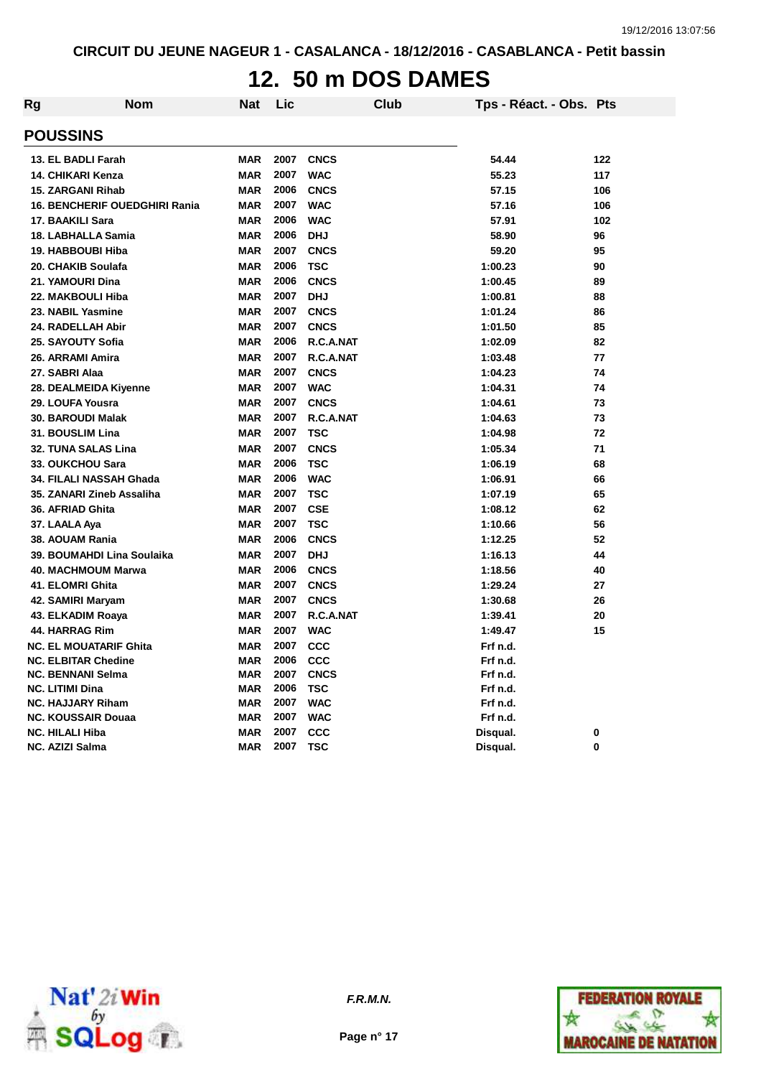### **12. 50 m DOS DAMES**

| Rg | Nom                                  | <b>Nat</b> | Lic  | Club        | Tps - Réact. - Obs. Pts |          |
|----|--------------------------------------|------------|------|-------------|-------------------------|----------|
|    | <b>POUSSINS</b>                      |            |      |             |                         |          |
|    | 13. EL BADLI Farah                   | <b>MAR</b> | 2007 | <b>CNCS</b> | 54.44                   | 122      |
|    | 14. CHIKARI Kenza                    | <b>MAR</b> | 2007 | <b>WAC</b>  | 55.23                   | 117      |
|    | <b>15. ZARGANI Rihab</b>             | <b>MAR</b> | 2006 | <b>CNCS</b> | 57.15                   | 106      |
|    | <b>16. BENCHERIF OUEDGHIRI Rania</b> | <b>MAR</b> | 2007 | <b>WAC</b>  | 57.16                   | 106      |
|    | 17. BAAKILI Sara                     | <b>MAR</b> | 2006 | <b>WAC</b>  | 57.91                   | 102      |
|    | 18. LABHALLA Samia                   | <b>MAR</b> | 2006 | <b>DHJ</b>  | 58.90                   | 96       |
|    | 19. HABBOUBI Hiba                    | <b>MAR</b> | 2007 | <b>CNCS</b> | 59.20                   | 95       |
|    | 20. CHAKIB Soulafa                   | <b>MAR</b> | 2006 | <b>TSC</b>  | 1:00.23                 | 90       |
|    | 21. YAMOURI Dina                     | <b>MAR</b> | 2006 | <b>CNCS</b> | 1:00.45                 | 89       |
|    | 22. MAKBOULI Hiba                    | <b>MAR</b> | 2007 | <b>DHJ</b>  | 1:00.81                 | 88       |
|    | 23. NABIL Yasmine                    | <b>MAR</b> | 2007 | <b>CNCS</b> | 1:01.24                 | 86       |
|    | 24. RADELLAH Abir                    | <b>MAR</b> | 2007 | <b>CNCS</b> | 1:01.50                 | 85       |
|    | 25. SAYOUTY Sofia                    | <b>MAR</b> | 2006 | R.C.A.NAT   | 1:02.09                 | 82       |
|    | 26. ARRAMI Amira                     | <b>MAR</b> | 2007 | R.C.A.NAT   | 1:03.48                 | 77       |
|    | 27. SABRI Alaa                       | <b>MAR</b> | 2007 | <b>CNCS</b> | 1:04.23                 | 74       |
|    | 28. DEALMEIDA Kiyenne                | <b>MAR</b> | 2007 | <b>WAC</b>  | 1:04.31                 | 74       |
|    | 29. LOUFA Yousra                     | <b>MAR</b> | 2007 | <b>CNCS</b> | 1:04.61                 | 73       |
|    | <b>30. BAROUDI Malak</b>             | <b>MAR</b> | 2007 | R.C.A.NAT   | 1:04.63                 | 73       |
|    | 31. BOUSLIM Lina                     | <b>MAR</b> | 2007 | <b>TSC</b>  | 1:04.98                 | 72       |
|    | <b>32. TUNA SALAS Lina</b>           | <b>MAR</b> | 2007 | <b>CNCS</b> | 1:05.34                 | 71       |
|    | 33. OUKCHOU Sara                     | <b>MAR</b> | 2006 | <b>TSC</b>  | 1:06.19                 | 68       |
|    | 34. FILALI NASSAH Ghada              | <b>MAR</b> | 2006 | <b>WAC</b>  | 1:06.91                 | 66       |
|    | 35. ZANARI Zineb Assaliha            | <b>MAR</b> | 2007 | <b>TSC</b>  | 1:07.19                 | 65       |
|    | 36. AFRIAD Ghita                     | <b>MAR</b> | 2007 | <b>CSE</b>  | 1:08.12                 | 62       |
|    | 37. LAALA Aya                        | <b>MAR</b> | 2007 | <b>TSC</b>  | 1:10.66                 | 56       |
|    | 38. AOUAM Rania                      | <b>MAR</b> | 2006 | <b>CNCS</b> | 1:12.25                 | 52       |
|    | 39. BOUMAHDI Lina Soulaika           | <b>MAR</b> | 2007 | <b>DHJ</b>  | 1:16.13                 | 44       |
|    | 40. MACHMOUM Marwa                   | <b>MAR</b> | 2006 | <b>CNCS</b> | 1:18.56                 | 40       |
|    | 41. ELOMRI Ghita                     | <b>MAR</b> | 2007 | <b>CNCS</b> | 1:29.24                 | 27       |
|    | 42. SAMIRI Maryam                    | <b>MAR</b> | 2007 | <b>CNCS</b> | 1:30.68                 | 26       |
|    | 43. ELKADIM Roaya                    | <b>MAR</b> | 2007 | R.C.A.NAT   | 1:39.41                 | 20       |
|    | 44. HARRAG Rim                       | <b>MAR</b> | 2007 | <b>WAC</b>  | 1:49.47                 | 15       |
|    | <b>NC. EL MOUATARIF Ghita</b>        | <b>MAR</b> | 2007 | CCC         | Frf n.d.                |          |
|    | <b>NC. ELBITAR Chedine</b>           | <b>MAR</b> | 2006 | CCC         | Frf n.d.                |          |
|    | <b>NC. BENNANI Selma</b>             | <b>MAR</b> | 2007 | <b>CNCS</b> | Frf n.d.                |          |
|    | <b>NC. LITIMI Dina</b>               | <b>MAR</b> | 2006 | <b>TSC</b>  | Frf n.d.                |          |
|    | <b>NC. HAJJARY Riham</b>             | <b>MAR</b> | 2007 | <b>WAC</b>  | Frf n.d.                |          |
|    | <b>NC. KOUSSAIR Douaa</b>            | <b>MAR</b> | 2007 | <b>WAC</b>  | Frf n.d.                |          |
|    | <b>NC. HILALI Hiba</b>               | <b>MAR</b> | 2007 | CCC         | Disqual.                | 0        |
|    | <b>NC. AZIZI Salma</b>               | <b>MAR</b> | 2007 | <b>TSC</b>  | Disqual.                | $\bf{0}$ |



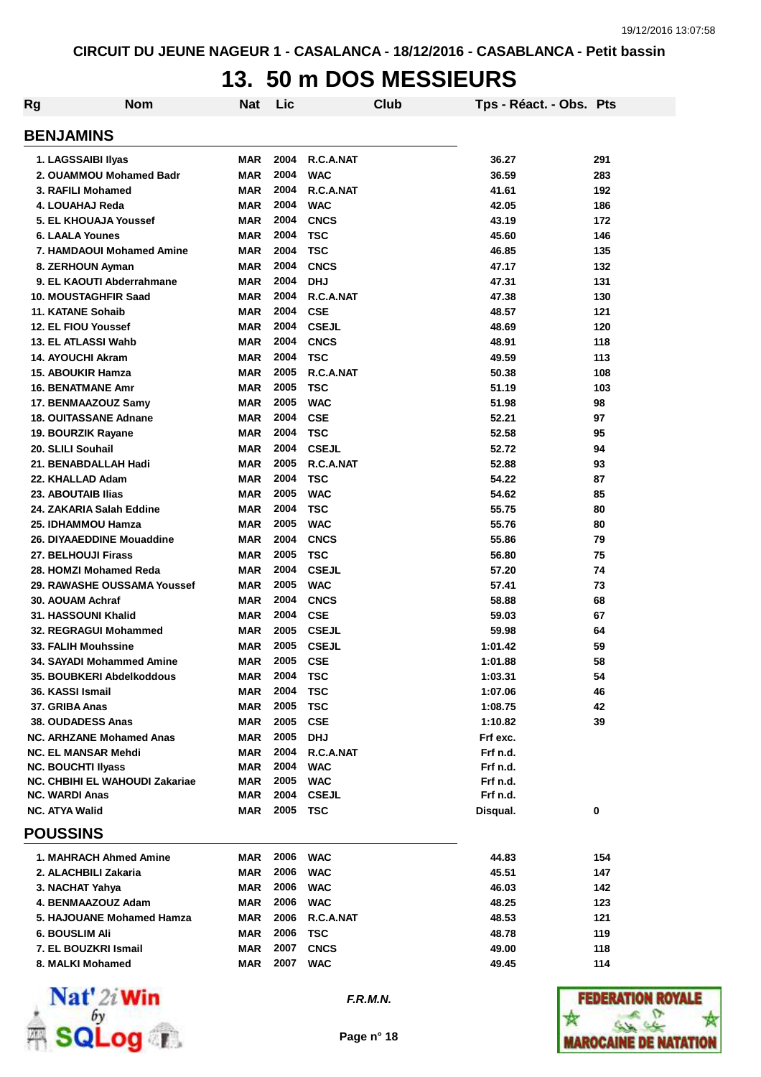### **13. 50 m DOS MESSIEURS**

| Rg | <b>Nom</b>                      | Nat        | Lic  |              | Club | Tps - Réact. - Obs. Pts |     |
|----|---------------------------------|------------|------|--------------|------|-------------------------|-----|
|    | <b>BENJAMINS</b>                |            |      |              |      |                         |     |
|    | 1. LAGSSAIBI IIyas              | <b>MAR</b> | 2004 | R.C.A.NAT    |      | 36.27                   | 291 |
|    | 2. OUAMMOU Mohamed Badr         | <b>MAR</b> | 2004 | <b>WAC</b>   |      | 36.59                   | 283 |
|    | 3. RAFILI Mohamed               | <b>MAR</b> | 2004 | R.C.A.NAT    |      | 41.61                   | 192 |
|    | 4. LOUAHAJ Reda                 | <b>MAR</b> | 2004 | <b>WAC</b>   |      | 42.05                   | 186 |
|    | 5. EL KHOUAJA Youssef           | <b>MAR</b> | 2004 | <b>CNCS</b>  |      | 43.19                   | 172 |
|    | <b>6. LAALA Younes</b>          | <b>MAR</b> | 2004 | <b>TSC</b>   |      | 45.60                   | 146 |
|    | 7. HAMDAOUI Mohamed Amine       | <b>MAR</b> | 2004 | <b>TSC</b>   |      | 46.85                   | 135 |
|    | 8. ZERHOUN Ayman                | <b>MAR</b> | 2004 | <b>CNCS</b>  |      | 47.17                   | 132 |
|    | 9. EL KAOUTI Abderrahmane       | <b>MAR</b> | 2004 | <b>DHJ</b>   |      | 47.31                   | 131 |
|    | 10. MOUSTAGHFIR Saad            | <b>MAR</b> | 2004 | R.C.A.NAT    |      | 47.38                   | 130 |
|    | 11. KATANE Sohaib               | <b>MAR</b> | 2004 | <b>CSE</b>   |      | 48.57                   | 121 |
|    | 12. EL FIOU Youssef             | <b>MAR</b> | 2004 | <b>CSEJL</b> |      | 48.69                   | 120 |
|    | 13. EL ATLASSI Wahb             | <b>MAR</b> | 2004 | <b>CNCS</b>  |      | 48.91                   | 118 |
|    | <b>14. AYOUCHI Akram</b>        | <b>MAR</b> | 2004 | <b>TSC</b>   |      | 49.59                   | 113 |
|    | <b>15. ABOUKIR Hamza</b>        | <b>MAR</b> | 2005 | R.C.A.NAT    |      | 50.38                   | 108 |
|    | <b>16. BENATMANE Amr</b>        | <b>MAR</b> | 2005 | <b>TSC</b>   |      | 51.19                   | 103 |
|    | 17. BENMAAZOUZ Samy             | <b>MAR</b> | 2005 | <b>WAC</b>   |      | 51.98                   | 98  |
|    | <b>18. OUITASSANE Adnane</b>    | <b>MAR</b> | 2004 | <b>CSE</b>   |      | 52.21                   | 97  |
|    | 19. BOURZIK Rayane              | <b>MAR</b> | 2004 | <b>TSC</b>   |      | 52.58                   | 95  |
|    | 20. SLILI Souhail               | <b>MAR</b> | 2004 | <b>CSEJL</b> |      | 52.72                   | 94  |
|    | 21. BENABDALLAH Hadi            | <b>MAR</b> | 2005 | R.C.A.NAT    |      | 52.88                   | 93  |
|    | 22. KHALLAD Adam                | <b>MAR</b> | 2004 | <b>TSC</b>   |      | 54.22                   | 87  |
|    | 23. ABOUTAIB Ilias              | <b>MAR</b> | 2005 | <b>WAC</b>   |      | 54.62                   | 85  |
|    | 24. ZAKARIA Salah Eddine        | <b>MAR</b> | 2004 | <b>TSC</b>   |      | 55.75                   | 80  |
|    | 25. IDHAMMOU Hamza              | <b>MAR</b> | 2005 | <b>WAC</b>   |      | 55.76                   | 80  |
|    | 26. DIYAAEDDINE Mouaddine       | <b>MAR</b> | 2004 | <b>CNCS</b>  |      | 55.86                   | 79  |
|    | 27. BELHOUJI Firass             | <b>MAR</b> | 2005 | <b>TSC</b>   |      | 56.80                   | 75  |
|    | 28. HOMZI Mohamed Reda          | <b>MAR</b> | 2004 | <b>CSEJL</b> |      | 57.20                   | 74  |
|    | 29. RAWASHE OUSSAMA Youssef     | <b>MAR</b> | 2005 | <b>WAC</b>   |      | 57.41                   | 73  |
|    | 30. AOUAM Achraf                | <b>MAR</b> | 2004 | <b>CNCS</b>  |      | 58.88                   | 68  |
|    | 31. HASSOUNI Khalid             | <b>MAR</b> | 2004 | <b>CSE</b>   |      | 59.03                   | 67  |
|    | 32. REGRAGUI Mohammed           | <b>MAR</b> | 2005 | <b>CSEJL</b> |      | 59.98                   | 64  |
|    | <b>33. FALIH Mouhssine</b>      | <b>MAR</b> | 2005 | <b>CSEJL</b> |      | 1:01.42                 | 59  |
|    | 34. SAYADI Mohammed Amine       | <b>MAR</b> | 2005 | <b>CSE</b>   |      | 1:01.88                 | 58  |
|    | 35. BOUBKERI Abdelkoddous       | <b>MAR</b> | 2004 | <b>TSC</b>   |      | 1:03.31                 | 54  |
|    | 36. KASSI Ismail                | <b>MAR</b> | 2004 | <b>TSC</b>   |      | 1:07.06                 | 46  |
|    | 37. GRIBA Anas                  | <b>MAR</b> | 2005 | <b>TSC</b>   |      | 1:08.75                 | 42  |
|    | <b>38. OUDADESS Anas</b>        | <b>MAR</b> | 2005 | <b>CSE</b>   |      | 1:10.82                 | 39  |
|    | <b>NC. ARHZANE Mohamed Anas</b> | <b>MAR</b> | 2005 | <b>DHJ</b>   |      | Frf exc.                |     |
|    | <b>NC. EL MANSAR Mehdi</b>      | <b>MAR</b> | 2004 | R.C.A.NAT    |      | Frf n.d.                |     |
|    | <b>NC. BOUCHTI Ilyass</b>       | <b>MAR</b> | 2004 | <b>WAC</b>   |      | Frf n.d.                |     |
|    | NC. CHBIHI EL WAHOUDI Zakariae  | <b>MAR</b> | 2005 | <b>WAC</b>   |      | Frf n.d.                |     |
|    | <b>NC. WARDI Anas</b>           | <b>MAR</b> | 2004 | <b>CSEJL</b> |      | Frf n.d.                |     |
|    | <b>NC. ATYA Walid</b>           | <b>MAR</b> | 2005 | TSC          |      | Disqual.                | 0   |
|    | <b>POUSSINS</b>                 |            |      |              |      |                         |     |
|    | 1. MAHRACH Ahmed Amine          | <b>MAR</b> | 2006 | <b>WAC</b>   |      | 44.83                   | 154 |
|    | 2. ALACHBILI Zakaria            | <b>MAR</b> | 2006 | <b>WAC</b>   |      | 45.51                   | 147 |
|    | 3. NACHAT Yahya                 | <b>MAR</b> | 2006 | <b>WAC</b>   |      | 46.03                   | 142 |
|    | 4. BENMAAZOUZ Adam              | <b>MAR</b> | 2006 | <b>WAC</b>   |      | 48.25                   | 123 |
|    | 5. HAJOUANE Mohamed Hamza       | <b>MAR</b> | 2006 | R.C.A.NAT    |      | 48.53                   | 121 |
|    | <b>6. BOUSLIM Ali</b>           | <b>MAR</b> | 2006 | <b>TSC</b>   |      | 48.78                   | 119 |
|    | 7. EL BOUZKRI Ismail            | <b>MAR</b> | 2007 | <b>CNCS</b>  |      | 49.00                   | 118 |
|    | 8. MALKI Mohamed                | <b>MAR</b> | 2007 | <b>WAC</b>   |      | 49.45                   | 114 |
|    |                                 |            |      |              |      |                         |     |



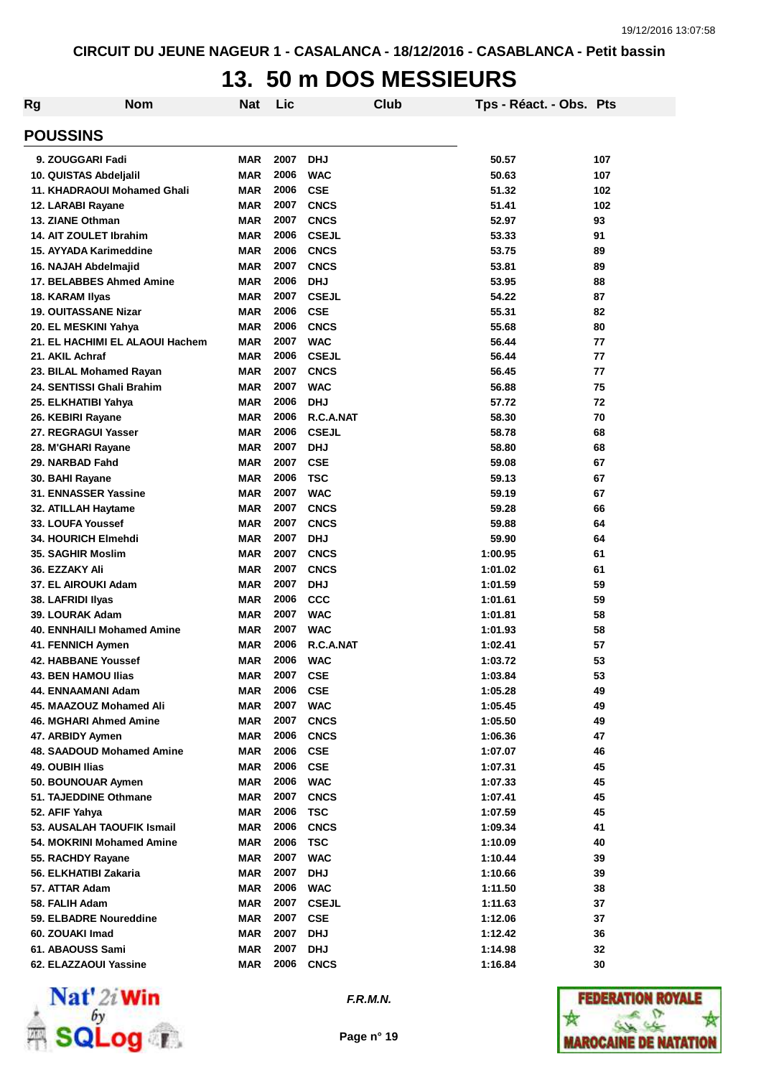### **13. 50 m DOS MESSIEURS**

| Rg                                | <b>Nom</b>                      | <b>Nat</b> | Lic  |              | <b>Club</b> | Tps - Réact. - Obs. Pts |     |
|-----------------------------------|---------------------------------|------------|------|--------------|-------------|-------------------------|-----|
| <b>POUSSINS</b>                   |                                 |            |      |              |             |                         |     |
| 9. ZOUGGARI Fadi                  |                                 | <b>MAR</b> | 2007 | <b>DHJ</b>   |             | 50.57                   | 107 |
| 10. QUISTAS Abdeljalil            |                                 | <b>MAR</b> | 2006 | <b>WAC</b>   |             | 50.63                   | 107 |
| 11. KHADRAOUI Mohamed Ghali       |                                 | <b>MAR</b> | 2006 | <b>CSE</b>   |             | 51.32                   | 102 |
| 12. LARABI Rayane                 |                                 | <b>MAR</b> | 2007 | <b>CNCS</b>  |             | 51.41                   | 102 |
| 13. ZIANE Othman                  |                                 | <b>MAR</b> | 2007 | <b>CNCS</b>  |             | 52.97                   | 93  |
| <b>14. AIT ZOULET Ibrahim</b>     |                                 | <b>MAR</b> | 2006 | <b>CSEJL</b> |             | 53.33                   | 91  |
| 15. AYYADA Karimeddine            |                                 | <b>MAR</b> | 2006 | <b>CNCS</b>  |             | 53.75                   | 89  |
| 16. NAJAH Abdelmajid              |                                 | <b>MAR</b> | 2007 | <b>CNCS</b>  |             | 53.81                   | 89  |
| 17. BELABBES Ahmed Amine          |                                 | <b>MAR</b> | 2006 | <b>DHJ</b>   |             | 53.95                   | 88  |
| 18. KARAM Ilyas                   |                                 | <b>MAR</b> | 2007 | <b>CSEJL</b> |             | 54.22                   | 87  |
| <b>19. OUITASSANE Nizar</b>       |                                 | <b>MAR</b> | 2006 | <b>CSE</b>   |             | 55.31                   | 82  |
| 20. EL MESKINI Yahya              |                                 | <b>MAR</b> | 2006 | <b>CNCS</b>  |             | 55.68                   | 80  |
|                                   | 21. EL HACHIMI EL ALAOUI Hachem | <b>MAR</b> | 2007 | <b>WAC</b>   |             | 56.44                   | 77  |
| 21. AKIL Achraf                   |                                 | <b>MAR</b> | 2006 | <b>CSEJL</b> |             | 56.44                   | 77  |
| 23. BILAL Mohamed Rayan           |                                 | <b>MAR</b> | 2007 | <b>CNCS</b>  |             | 56.45                   | 77  |
| 24. SENTISSI Ghali Brahim         |                                 | <b>MAR</b> | 2007 | <b>WAC</b>   |             | 56.88                   | 75  |
| 25. ELKHATIBI Yahya               |                                 | <b>MAR</b> | 2006 | <b>DHJ</b>   |             | 57.72                   | 72  |
| 26. KEBIRI Rayane                 |                                 | <b>MAR</b> | 2006 | R.C.A.NAT    |             | 58.30                   | 70  |
| 27. REGRAGUI Yasser               |                                 | <b>MAR</b> | 2006 | <b>CSEJL</b> |             | 58.78                   | 68  |
| 28. M'GHARI Rayane                |                                 | <b>MAR</b> | 2007 | <b>DHJ</b>   |             | 58.80                   | 68  |
| 29. NARBAD Fahd                   |                                 | <b>MAR</b> | 2007 | <b>CSE</b>   |             | 59.08                   | 67  |
| 30. BAHI Rayane                   |                                 | <b>MAR</b> | 2006 | <b>TSC</b>   |             | 59.13                   | 67  |
| 31. ENNASSER Yassine              |                                 | <b>MAR</b> | 2007 | <b>WAC</b>   |             | 59.19                   | 67  |
| 32. ATILLAH Haytame               |                                 | <b>MAR</b> | 2007 | <b>CNCS</b>  |             | 59.28                   | 66  |
| 33. LOUFA Youssef                 |                                 | <b>MAR</b> | 2007 | <b>CNCS</b>  |             | 59.88                   | 64  |
| <b>34. HOURICH Elmehdi</b>        |                                 | <b>MAR</b> | 2007 | <b>DHJ</b>   |             | 59.90                   | 64  |
| 35. SAGHIR Moslim                 |                                 | <b>MAR</b> | 2007 | <b>CNCS</b>  |             | 1:00.95                 | 61  |
| 36. EZZAKY Ali                    |                                 | <b>MAR</b> | 2007 | <b>CNCS</b>  |             | 1:01.02                 | 61  |
| 37. EL AIROUKI Adam               |                                 | <b>MAR</b> | 2007 | <b>DHJ</b>   |             | 1:01.59                 | 59  |
| 38. LAFRIDI Ilyas                 |                                 | <b>MAR</b> | 2006 | <b>CCC</b>   |             | 1:01.61                 | 59  |
| 39. LOURAK Adam                   |                                 | <b>MAR</b> | 2007 | <b>WAC</b>   |             | 1:01.81                 | 58  |
| <b>40. ENNHAILI Mohamed Amine</b> |                                 | <b>MAR</b> | 2007 | <b>WAC</b>   |             | 1:01.93                 | 58  |
| 41. FENNICH Aymen                 |                                 | <b>MAR</b> | 2006 | R.C.A.NAT    |             | 1:02.41                 | 57  |
| <b>42. HABBANE Youssef</b>        |                                 | <b>MAR</b> | 2006 | <b>WAC</b>   |             | 1:03.72                 | 53  |
| <b>43. BEN HAMOU Ilias</b>        |                                 | <b>MAR</b> | 2007 | <b>CSE</b>   |             | 1:03.84                 | 53  |
| 44. ENNAAMANI Adam                |                                 | <b>MAR</b> | 2006 | <b>CSE</b>   |             | 1:05.28                 | 49  |
| 45. MAAZOUZ Mohamed Ali           |                                 | <b>MAR</b> | 2007 | <b>WAC</b>   |             | 1:05.45                 | 49  |
| 46. MGHARI Ahmed Amine            |                                 | <b>MAR</b> | 2007 | <b>CNCS</b>  |             | 1:05.50                 | 49  |
| 47. ARBIDY Aymen                  |                                 | <b>MAR</b> | 2006 | <b>CNCS</b>  |             | 1:06.36                 | 47  |
| 48. SAADOUD Mohamed Amine         |                                 | <b>MAR</b> | 2006 | <b>CSE</b>   |             | 1:07.07                 | 46  |
| 49. OUBIH Ilias                   |                                 | <b>MAR</b> | 2006 | <b>CSE</b>   |             | 1:07.31                 | 45  |
| 50. BOUNOUAR Aymen                |                                 | <b>MAR</b> | 2006 | <b>WAC</b>   |             | 1:07.33                 | 45  |
| 51. TAJEDDINE Othmane             |                                 | <b>MAR</b> | 2007 | <b>CNCS</b>  |             | 1:07.41                 | 45  |
| 52. AFIF Yahya                    |                                 | <b>MAR</b> | 2006 | <b>TSC</b>   |             | 1:07.59                 | 45  |
| 53. AUSALAH TAOUFIK Ismail        |                                 | <b>MAR</b> | 2006 | <b>CNCS</b>  |             | 1:09.34                 | 41  |
| 54. MOKRINI Mohamed Amine         |                                 | <b>MAR</b> | 2006 | <b>TSC</b>   |             | 1:10.09                 | 40  |
| 55. RACHDY Rayane                 |                                 | <b>MAR</b> | 2007 | <b>WAC</b>   |             | 1:10.44                 | 39  |
| 56. ELKHATIBI Zakaria             |                                 | <b>MAR</b> | 2007 | <b>DHJ</b>   |             | 1:10.66                 | 39  |
| 57. ATTAR Adam                    |                                 | <b>MAR</b> | 2006 | <b>WAC</b>   |             | 1:11.50                 | 38  |
| 58. FALIH Adam                    |                                 | <b>MAR</b> | 2007 | <b>CSEJL</b> |             | 1:11.63                 | 37  |
| 59. ELBADRE Noureddine            |                                 | <b>MAR</b> | 2007 | <b>CSE</b>   |             | 1:12.06                 | 37  |
| 60. ZOUAKI Imad                   |                                 | <b>MAR</b> | 2007 | <b>DHJ</b>   |             | 1:12.42                 | 36  |
| 61. ABAOUSS Sami                  |                                 | <b>MAR</b> | 2007 | <b>DHJ</b>   |             | 1:14.98                 | 32  |
| 62. ELAZZAOUI Yassine             |                                 | <b>MAR</b> | 2006 | <b>CNCS</b>  |             | 1:16.84                 | 30  |
|                                   |                                 |            |      |              |             |                         |     |



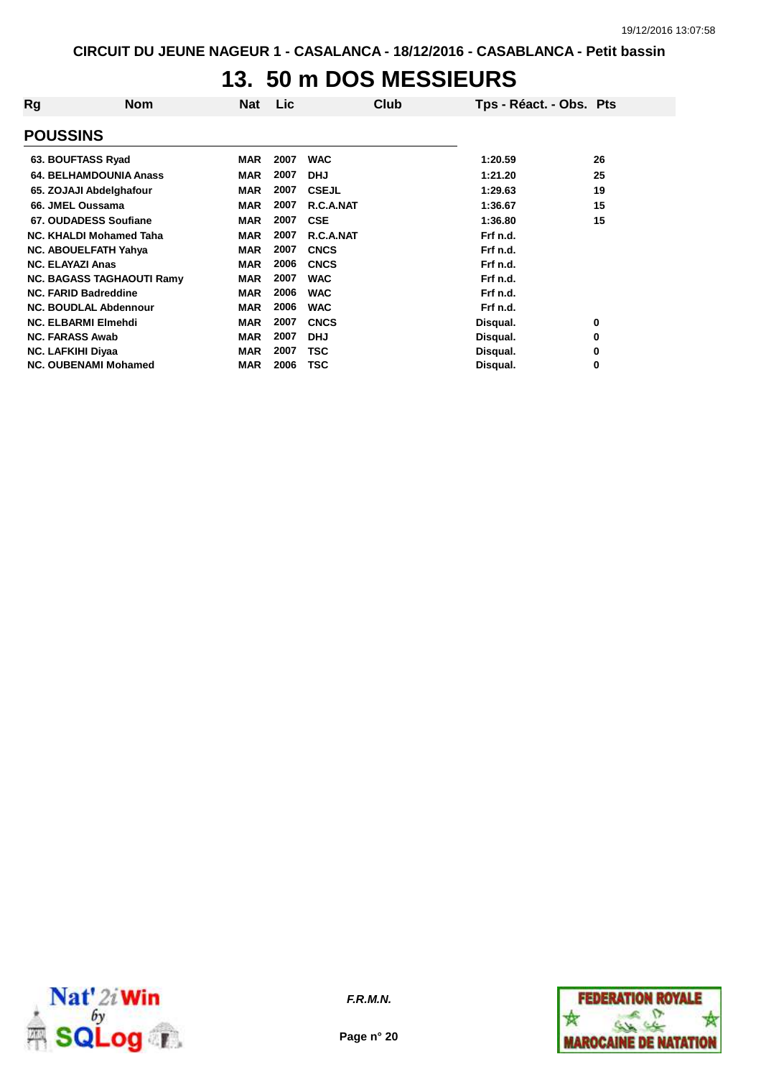### **13. 50 m DOS MESSIEURS**

| Rg | <b>Nom</b>                       | Nat        | Lic  | Club         | Tps - Réact. - Obs. Pts |    |
|----|----------------------------------|------------|------|--------------|-------------------------|----|
|    | <b>POUSSINS</b>                  |            |      |              |                         |    |
|    | 63. BOUFTASS Ryad                | <b>MAR</b> | 2007 | <b>WAC</b>   | 1:20.59                 | 26 |
|    | 64. BELHAMDOUNIA Anass           | <b>MAR</b> | 2007 | <b>DHJ</b>   | 1:21.20                 | 25 |
|    | 65. ZOJAJI Abdelghafour          | <b>MAR</b> | 2007 | <b>CSEJL</b> | 1:29.63                 | 19 |
|    | 66. JMEL Oussama                 | <b>MAR</b> | 2007 | R.C.A.NAT    | 1:36.67                 | 15 |
|    | 67. OUDADESS Soufiane            | <b>MAR</b> | 2007 | <b>CSE</b>   | 1:36.80                 | 15 |
|    | NC. KHALDI Mohamed Taha          | <b>MAR</b> | 2007 | R.C.A.NAT    | Frf n.d.                |    |
|    | <b>NC. ABOUELFATH Yahya</b>      | <b>MAR</b> | 2007 | <b>CNCS</b>  | Frf n.d.                |    |
|    | <b>NC. ELAYAZI Anas</b>          | <b>MAR</b> | 2006 | <b>CNCS</b>  | Frf n.d.                |    |
|    | <b>NC. BAGASS TAGHAOUTI Ramy</b> | <b>MAR</b> | 2007 | <b>WAC</b>   | Frf n.d.                |    |
|    | <b>NC. FARID Badreddine</b>      | <b>MAR</b> | 2006 | <b>WAC</b>   | Frf n.d.                |    |
|    | <b>NC. BOUDLAL Abdennour</b>     | <b>MAR</b> | 2006 | <b>WAC</b>   | Frf n.d.                |    |
|    | <b>NC. ELBARMI Elmehdi</b>       | <b>MAR</b> | 2007 | <b>CNCS</b>  | Disqual.                | 0  |
|    | <b>NC. FARASS Awab</b>           | <b>MAR</b> | 2007 | <b>DHJ</b>   | Disqual.                | 0  |
|    | <b>NC. LAFKIHI Diyaa</b>         | <b>MAR</b> | 2007 | TSC          | Disqual.                | 0  |
|    | <b>NC. OUBENAMI Mohamed</b>      | <b>MAR</b> | 2006 | <b>TSC</b>   | Disqual.                | 0  |



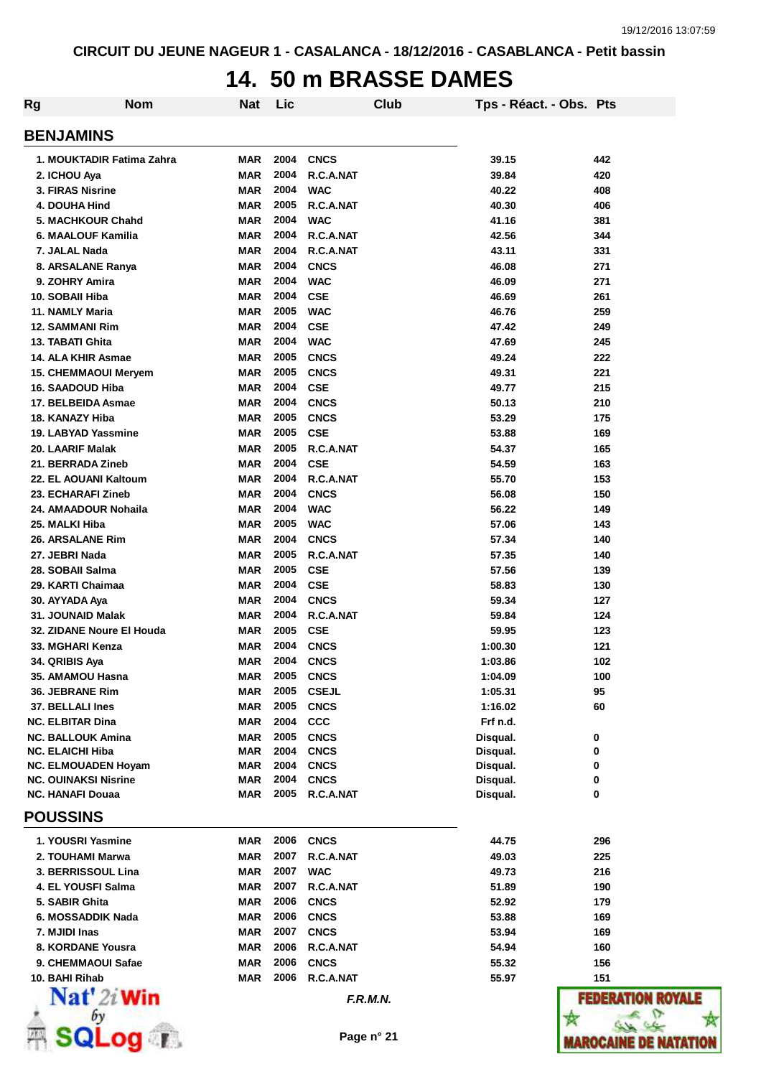#### **14. 50 m BRASSE DAMES**

| <b>Rg</b><br><b>Nom</b>                                   | Nat                      | Lic          |                            | <b>Club</b> | Tps - Réact. - Obs. Pts |            |
|-----------------------------------------------------------|--------------------------|--------------|----------------------------|-------------|-------------------------|------------|
| <b>BENJAMINS</b>                                          |                          |              |                            |             |                         |            |
| 1. MOUKTADIR Fatima Zahra                                 | <b>MAR</b>               | 2004         | <b>CNCS</b>                |             | 39.15                   | 442        |
| 2. ICHOU Aya                                              | <b>MAR</b>               | 2004         | R.C.A.NAT                  |             | 39.84                   | 420        |
| 3. FIRAS Nisrine                                          | <b>MAR</b>               | 2004         | <b>WAC</b>                 |             | 40.22                   | 408        |
| 4. DOUHA Hind                                             | <b>MAR</b>               | 2005         | R.C.A.NAT                  |             | 40.30                   | 406        |
| 5. MACHKOUR Chahd                                         | <b>MAR</b>               | 2004         | <b>WAC</b>                 |             | 41.16                   | 381        |
| 6. MAALOUF Kamilia                                        | <b>MAR</b>               | 2004         | R.C.A.NAT                  |             | 42.56                   | 344        |
| 7. JALAL Nada                                             | <b>MAR</b>               | 2004         | R.C.A.NAT                  |             | 43.11                   | 331        |
| 8. ARSALANE Ranya                                         | <b>MAR</b>               | 2004         | <b>CNCS</b>                |             | 46.08                   | 271        |
| 9. ZOHRY Amira                                            | <b>MAR</b>               | 2004         | <b>WAC</b>                 |             | 46.09                   | 271        |
| 10. SOBAII Hiba                                           | <b>MAR</b>               | 2004         | <b>CSE</b>                 |             | 46.69                   | 261        |
| 11. NAMLY Maria                                           | <b>MAR</b>               | 2005         | <b>WAC</b>                 |             | 46.76                   | 259        |
| <b>12. SAMMANI Rim</b>                                    | <b>MAR</b>               | 2004         | <b>CSE</b>                 |             | 47.42                   | 249        |
| 13. TABATI Ghita                                          | <b>MAR</b>               | 2004         | <b>WAC</b>                 |             | 47.69                   | 245        |
| 14. ALA KHIR Asmae                                        | <b>MAR</b>               | 2005<br>2005 | <b>CNCS</b>                |             | 49.24                   | 222        |
| <b>15. CHEMMAOUI Meryem</b>                               | <b>MAR</b><br><b>MAR</b> | 2004         | <b>CNCS</b>                |             | 49.31                   | 221        |
| <b>16. SAADOUD Hiba</b><br>17. BELBEIDA Asmae             | <b>MAR</b>               | 2004         | <b>CSE</b><br><b>CNCS</b>  |             | 49.77<br>50.13          | 215<br>210 |
| 18. KANAZY Hiba                                           | <b>MAR</b>               | 2005         | <b>CNCS</b>                |             | 53.29                   | 175        |
| 19. LABYAD Yassmine                                       | <b>MAR</b>               | 2005         | <b>CSE</b>                 |             | 53.88                   | 169        |
| 20. LAARIF Malak                                          | <b>MAR</b>               | 2005         | R.C.A.NAT                  |             | 54.37                   | 165        |
| 21. BERRADA Zineb                                         | <b>MAR</b>               | 2004         | <b>CSE</b>                 |             | 54.59                   | 163        |
| 22. EL AOUANI Kaltoum                                     | <b>MAR</b>               | 2004         | R.C.A.NAT                  |             | 55.70                   | 153        |
| 23. ECHARAFI Zineb                                        | <b>MAR</b>               | 2004         | <b>CNCS</b>                |             | 56.08                   | 150        |
| 24. AMAADOUR Nohaila                                      | <b>MAR</b>               | 2004         | <b>WAC</b>                 |             | 56.22                   | 149        |
| 25. MALKI Hiba                                            | <b>MAR</b>               | 2005         | <b>WAC</b>                 |             | 57.06                   | 143        |
| 26. ARSALANE Rim                                          | <b>MAR</b>               | 2004         | <b>CNCS</b>                |             | 57.34                   | 140        |
| 27. JEBRI Nada                                            | <b>MAR</b>               | 2005         | R.C.A.NAT                  |             | 57.35                   | 140        |
| 28. SOBAII Salma                                          | <b>MAR</b>               | 2005         | <b>CSE</b>                 |             | 57.56                   | 139        |
| 29. KARTI Chaimaa                                         | <b>MAR</b>               | 2004         | <b>CSE</b>                 |             | 58.83                   | 130        |
| 30. AYYADA Aya                                            | <b>MAR</b>               | 2004         | <b>CNCS</b>                |             | 59.34                   | 127        |
| 31. JOUNAID Malak                                         | <b>MAR</b>               | 2004         | R.C.A.NAT                  |             | 59.84                   | 124        |
| 32. ZIDANE Noure El Houda                                 | <b>MAR</b>               | 2005         | <b>CSE</b>                 |             | 59.95                   | 123        |
| 33. MGHARI Kenza                                          | <b>MAR</b>               | 2004         | <b>CNCS</b>                |             | 1:00.30                 | 121        |
| 34. QRIBIS Aya                                            | <b>MAR</b>               | 2004         | <b>CNCS</b>                |             | 1:03.86                 | 102        |
| 35. AMAMOU Hasna                                          | MAR                      | 2005         | <b>CNCS</b>                |             | 1:04.09                 | 100        |
| 36. JEBRANE Rim                                           | <b>MAR</b>               | 2005         | <b>CSEJL</b>               |             | 1:05.31                 | 95         |
| 37. BELLALI Ines                                          | <b>MAR</b>               | 2005         | <b>CNCS</b>                |             | 1:16.02                 | 60         |
| <b>NC. ELBITAR Dina</b>                                   | <b>MAR</b>               | 2004         | <b>CCC</b>                 |             | Frf n.d.                |            |
| <b>NC. BALLOUK Amina</b>                                  | <b>MAR</b>               | 2005         | <b>CNCS</b>                |             | Disqual.                | 0          |
| <b>NC. ELAICHI Hiba</b>                                   | <b>MAR</b>               | 2004         | <b>CNCS</b>                |             | Disqual.                | 0          |
| <b>NC. ELMOUADEN Hoyam</b><br><b>NC. OUINAKSI Nisrine</b> | <b>MAR</b>               | 2004<br>2004 | <b>CNCS</b><br><b>CNCS</b> |             | Disqual.                | 0          |
| <b>NC. HANAFI Douaa</b>                                   | <b>MAR</b><br><b>MAR</b> | 2005         | R.C.A.NAT                  |             | Disqual.<br>Disqual.    | 0<br>0     |
| <b>POUSSINS</b>                                           |                          |              |                            |             |                         |            |
|                                                           |                          |              |                            |             |                         |            |
| 1. YOUSRI Yasmine                                         | MAR                      | 2006         | <b>CNCS</b>                |             | 44.75                   | 296        |
| 2. TOUHAMI Marwa                                          | <b>MAR</b>               | 2007<br>2007 | R.C.A.NAT                  |             | 49.03                   | 225        |
| 3. BERRISSOUL Lina                                        | <b>MAR</b>               | 2007         | <b>WAC</b><br>R.C.A.NAT    |             | 49.73                   | 216        |
| 4. EL YOUSFI Salma<br>5. SABIR Ghita                      | <b>MAR</b><br><b>MAR</b> | 2006         |                            |             | 51.89                   | 190        |
| 6. MOSSADDIK Nada                                         | <b>MAR</b>               | 2006         | <b>CNCS</b><br><b>CNCS</b> |             | 52.92<br>53.88          | 179<br>169 |
| 7. MJIDI Inas                                             | <b>MAR</b>               | 2007         | <b>CNCS</b>                |             | 53.94                   | 169        |
| 8. KORDANE Yousra                                         | <b>MAR</b>               | 2006         | R.C.A.NAT                  |             | 54.94                   | 160        |
| 9. CHEMMAOUI Safae                                        | <b>MAR</b>               | 2006         | <b>CNCS</b>                |             | 55.32                   | 156        |
| 10. BAHI Rihab                                            | MAR                      | 2006         | R.C.A.NAT                  |             | 55.97                   | 151        |
| $\mathbf{Nat}'$ 2i Win                                    |                          |              |                            | F.R.M.N.    |                         | FEDER      |
|                                                           |                          |              |                            |             |                         |            |
|                                                           |                          |              |                            |             |                         |            |
| $OQ \parallel E$                                          |                          |              |                            | Page n° 21  |                         | IAROCAI    |

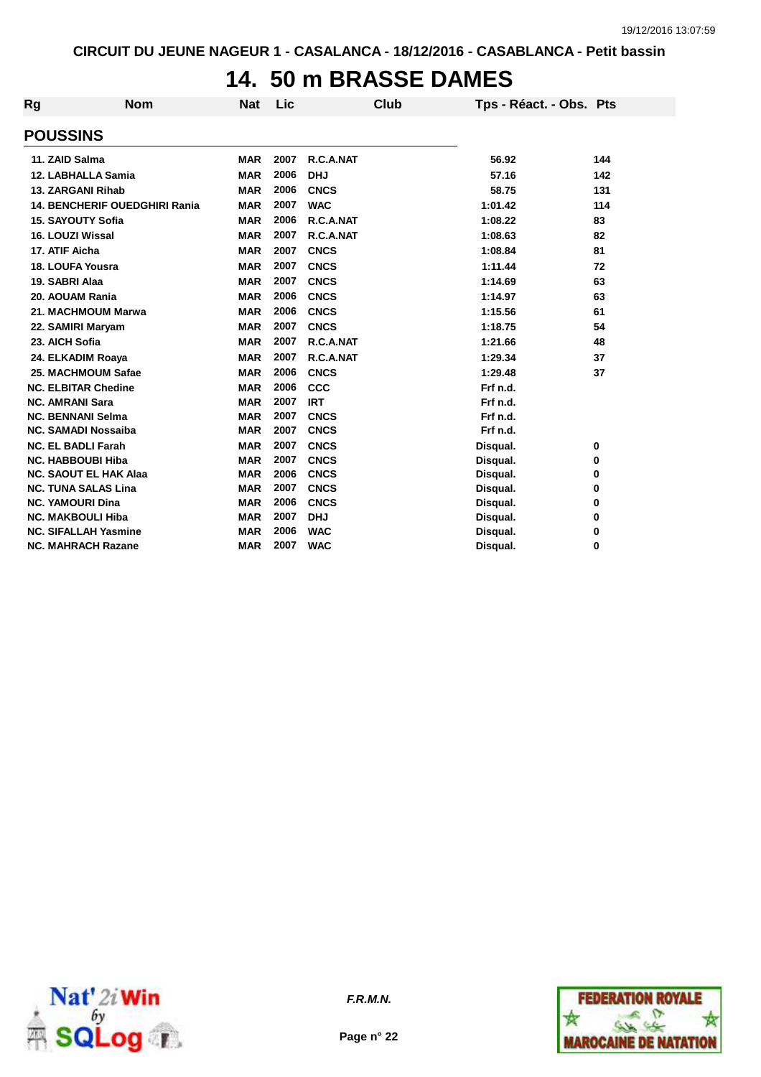### **14. 50 m BRASSE DAMES**

| Rg                      | Nom                                  | <b>Nat</b> | Lic  | Club        | Tps - Réact. - Obs. Pts |     |
|-------------------------|--------------------------------------|------------|------|-------------|-------------------------|-----|
| <b>POUSSINS</b>         |                                      |            |      |             |                         |     |
| 11. ZAID Salma          |                                      | <b>MAR</b> | 2007 | R.C.A.NAT   | 56.92                   | 144 |
|                         | 12. LABHALLA Samia                   | <b>MAR</b> | 2006 | <b>DHJ</b>  | 57.16                   | 142 |
|                         | 13. ZARGANI Rihab                    | <b>MAR</b> | 2006 | <b>CNCS</b> | 58.75                   | 131 |
|                         | <b>14. BENCHERIF OUEDGHIRI Rania</b> | <b>MAR</b> | 2007 | <b>WAC</b>  | 1:01.42                 | 114 |
|                         | <b>15. SAYOUTY Sofia</b>             | <b>MAR</b> | 2006 | R.C.A.NAT   | 1:08.22                 | 83  |
| 16. LOUZI Wissal        |                                      | <b>MAR</b> | 2007 | R.C.A.NAT   | 1:08.63                 | 82  |
| 17. ATIF Aicha          |                                      | <b>MAR</b> | 2007 | <b>CNCS</b> | 1:08.84                 | 81  |
| <b>18. LOUFA Yousra</b> |                                      | <b>MAR</b> | 2007 | <b>CNCS</b> | 1:11.44                 | 72  |
| 19. SABRI Alaa          |                                      | <b>MAR</b> | 2007 | <b>CNCS</b> | 1:14.69                 | 63  |
| 20. AOUAM Rania         |                                      | <b>MAR</b> | 2006 | <b>CNCS</b> | 1:14.97                 | 63  |
|                         | 21. MACHMOUM Marwa                   | <b>MAR</b> | 2006 | <b>CNCS</b> | 1:15.56                 | 61  |
|                         | 22. SAMIRI Maryam                    | <b>MAR</b> | 2007 | <b>CNCS</b> | 1:18.75                 | 54  |
| 23. AICH Sofia          |                                      | <b>MAR</b> | 2007 | R.C.A.NAT   | 1:21.66                 | 48  |
|                         | 24. ELKADIM Roaya                    | <b>MAR</b> | 2007 | R.C.A.NAT   | 1:29.34                 | 37  |
|                         | 25. MACHMOUM Safae                   | <b>MAR</b> | 2006 | <b>CNCS</b> | 1:29.48                 | 37  |
|                         | <b>NC. ELBITAR Chedine</b>           | <b>MAR</b> | 2006 | CCC         | Frf n.d.                |     |
| <b>NC. AMRANI Sara</b>  |                                      | <b>MAR</b> | 2007 | <b>IRT</b>  | Frf n.d.                |     |
|                         | <b>NC. BENNANI Selma</b>             | <b>MAR</b> | 2007 | <b>CNCS</b> | Frf n.d.                |     |
|                         | <b>NC. SAMADI Nossaiba</b>           | <b>MAR</b> | 2007 | <b>CNCS</b> | Frf n.d.                |     |
|                         | <b>NC. EL BADLI Farah</b>            | <b>MAR</b> | 2007 | <b>CNCS</b> | Disqual.                | 0   |
|                         | <b>NC. HABBOUBI Hiba</b>             | <b>MAR</b> | 2007 | <b>CNCS</b> | Disqual.                | 0   |
|                         | <b>NC. SAOUT EL HAK Alaa</b>         | <b>MAR</b> | 2006 | <b>CNCS</b> | Disqual.                | 0   |
|                         | <b>NC. TUNA SALAS Lina</b>           | <b>MAR</b> | 2007 | <b>CNCS</b> | Disqual.                | 0   |
| <b>NC. YAMOURI Dina</b> |                                      | <b>MAR</b> | 2006 | <b>CNCS</b> | Disqual.                | 0   |
|                         | <b>NC. MAKBOULI Hiba</b>             | <b>MAR</b> | 2007 | <b>DHJ</b>  | Disqual.                | 0   |
|                         | <b>NC. SIFALLAH Yasmine</b>          | <b>MAR</b> | 2006 | <b>WAC</b>  | Disqual.                | 0   |
|                         | <b>NC. MAHRACH Razane</b>            | <b>MAR</b> | 2007 | <b>WAC</b>  | Disqual.                | 0   |



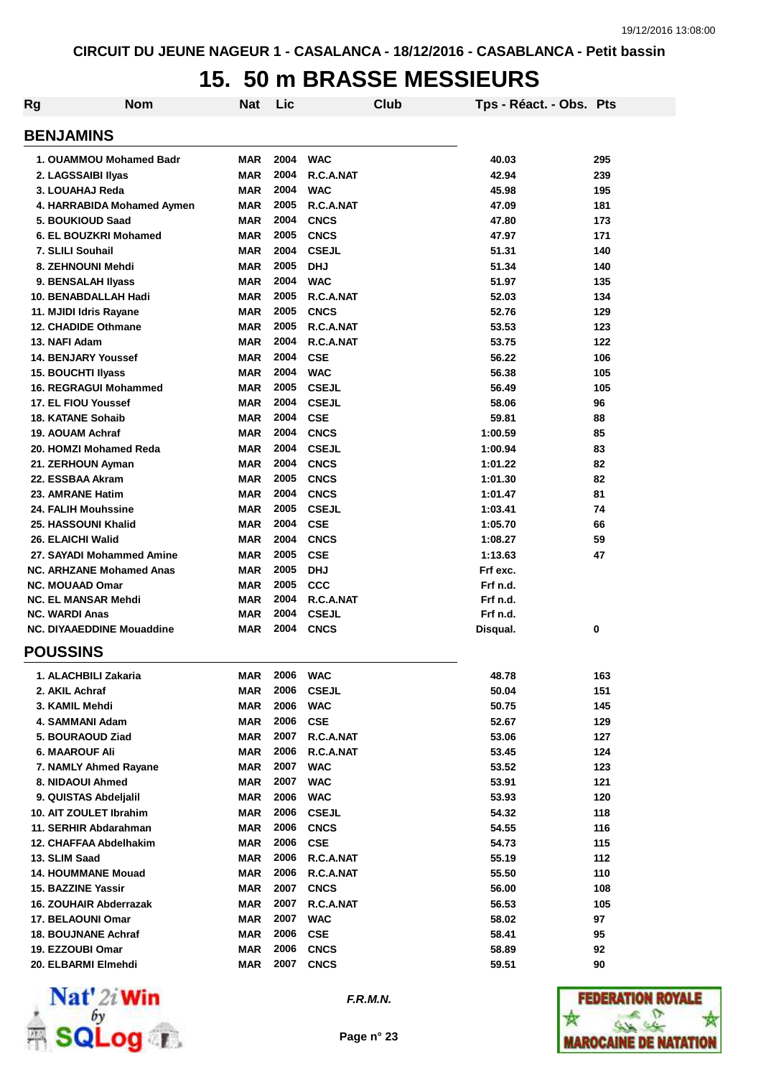### **15. 50 m BRASSE MESSIEURS**

| <b>Rg</b>                        | <b>Nom</b>                 | <b>Nat</b> | Lic  |                | Club | Tps - Réact. - Obs. Pts |     |
|----------------------------------|----------------------------|------------|------|----------------|------|-------------------------|-----|
| <b>BENJAMINS</b>                 |                            |            |      |                |      |                         |     |
| 1. OUAMMOU Mohamed Badr          |                            | <b>MAR</b> | 2004 | <b>WAC</b>     |      | 40.03                   | 295 |
| 2. LAGSSAIBI Ilyas               |                            | <b>MAR</b> | 2004 | R.C.A.NAT      |      | 42.94                   | 239 |
| 3. LOUAHAJ Reda                  |                            | <b>MAR</b> | 2004 | <b>WAC</b>     |      | 45.98                   | 195 |
|                                  | 4. HARRABIDA Mohamed Aymen | <b>MAR</b> | 2005 | R.C.A.NAT      |      | 47.09                   | 181 |
| 5. BOUKIOUD Saad                 |                            | <b>MAR</b> | 2004 | <b>CNCS</b>    |      | 47.80                   | 173 |
| 6. EL BOUZKRI Mohamed            |                            | <b>MAR</b> | 2005 | <b>CNCS</b>    |      | 47.97                   | 171 |
| 7. SLILI Souhail                 |                            | <b>MAR</b> | 2004 | <b>CSEJL</b>   |      | 51.31                   | 140 |
| 8. ZEHNOUNI Mehdi                |                            | <b>MAR</b> | 2005 | <b>DHJ</b>     |      | 51.34                   | 140 |
| 9. BENSALAH IIyass               |                            | <b>MAR</b> | 2004 | <b>WAC</b>     |      | 51.97                   | 135 |
| 10. BENABDALLAH Hadi             |                            | <b>MAR</b> | 2005 | R.C.A.NAT      |      | 52.03                   | 134 |
| 11. MJIDI Idris Rayane           |                            | <b>MAR</b> | 2005 | <b>CNCS</b>    |      | 52.76                   | 129 |
| <b>12. CHADIDE Othmane</b>       |                            | <b>MAR</b> | 2005 | R.C.A.NAT      |      | 53.53                   | 123 |
| 13. NAFI Adam                    |                            | <b>MAR</b> | 2004 | R.C.A.NAT      |      | 53.75                   | 122 |
| <b>14. BENJARY Youssef</b>       |                            | <b>MAR</b> | 2004 | <b>CSE</b>     |      | 56.22                   | 106 |
| <b>15. BOUCHTI Ilyass</b>        |                            | <b>MAR</b> | 2004 | <b>WAC</b>     |      | 56.38                   | 105 |
| 16. REGRAGUI Mohammed            |                            | <b>MAR</b> | 2005 | <b>CSEJL</b>   |      | 56.49                   | 105 |
| 17. EL FIOU Youssef              |                            | <b>MAR</b> | 2004 | <b>CSEJL</b>   |      | 58.06                   | 96  |
| <b>18. KATANE Sohaib</b>         |                            | <b>MAR</b> | 2004 | <b>CSE</b>     |      | 59.81                   | 88  |
| 19. AOUAM Achraf                 |                            | <b>MAR</b> | 2004 | <b>CNCS</b>    |      | 1:00.59                 | 85  |
| 20. HOMZI Mohamed Reda           |                            | <b>MAR</b> | 2004 | <b>CSEJL</b>   |      | 1:00.94                 | 83  |
| 21. ZERHOUN Ayman                |                            | <b>MAR</b> | 2004 | <b>CNCS</b>    |      | 1:01.22                 | 82  |
| 22. ESSBAA Akram                 |                            | <b>MAR</b> | 2005 | <b>CNCS</b>    |      | 1:01.30                 | 82  |
| 23. AMRANE Hatim                 |                            | <b>MAR</b> | 2004 | <b>CNCS</b>    |      | 1:01.47                 | 81  |
| <b>24. FALIH Mouhssine</b>       |                            | <b>MAR</b> | 2005 | <b>CSEJL</b>   |      | 1:03.41                 | 74  |
| 25. HASSOUNI Khalid              |                            | <b>MAR</b> | 2004 | <b>CSE</b>     |      | 1:05.70                 | 66  |
| 26. ELAICHI Walid                |                            | <b>MAR</b> | 2004 | <b>CNCS</b>    |      | 1:08.27                 | 59  |
| 27. SAYADI Mohammed Amine        |                            | <b>MAR</b> | 2005 | <b>CSE</b>     |      | 1:13.63                 | 47  |
| <b>NC. ARHZANE Mohamed Anas</b>  |                            | <b>MAR</b> | 2005 | <b>DHJ</b>     |      | Frf exc.                |     |
| <b>NC. MOUAAD Omar</b>           |                            | <b>MAR</b> | 2005 | CCC            |      | Frf n.d.                |     |
| <b>NC. EL MANSAR Mehdi</b>       |                            | <b>MAR</b> | 2004 | R.C.A.NAT      |      | Frf n.d.                |     |
| <b>NC. WARDI Anas</b>            |                            | <b>MAR</b> | 2004 | <b>CSEJL</b>   |      | Frf n.d.                |     |
| <b>NC. DIYAAEDDINE Mouaddine</b> |                            | <b>MAR</b> | 2004 | <b>CNCS</b>    |      | Disqual.                | 0   |
| <b>POUSSINS</b>                  |                            |            |      |                |      |                         |     |
| 1. ALACHBILI Zakaria             |                            | <b>MAR</b> | 2006 | <b>WAC</b>     |      | 48.78                   | 163 |
| 2. AKIL Achraf                   |                            | <b>MAR</b> | 2006 | <b>CSEJL</b>   |      | 50.04                   | 151 |
| 3. KAMIL Mehdi                   |                            | <b>MAR</b> | 2006 | <b>WAC</b>     |      | 50.75                   | 145 |
| 4. SAMMANI Adam                  |                            | <b>MAR</b> | 2006 | $\mathsf{CSE}$ |      | 52.67                   | 129 |
| 5. BOURAOUD Ziad                 |                            | <b>MAR</b> | 2007 | R.C.A.NAT      |      | 53.06                   | 127 |
| <b>6. MAAROUF Ali</b>            |                            | <b>MAR</b> | 2006 | R.C.A.NAT      |      | 53.45                   | 124 |
| 7. NAMLY Ahmed Rayane            |                            | <b>MAR</b> | 2007 | <b>WAC</b>     |      | 53.52                   | 123 |
| 8. NIDAOUI Ahmed                 |                            | <b>MAR</b> | 2007 | <b>WAC</b>     |      | 53.91                   | 121 |
| 9. QUISTAS Abdeljalil            |                            | <b>MAR</b> | 2006 | <b>WAC</b>     |      | 53.93                   | 120 |
| 10. AIT ZOULET Ibrahim           |                            | <b>MAR</b> | 2006 | <b>CSEJL</b>   |      | 54.32                   | 118 |
| 11. SERHIR Abdarahman            |                            | <b>MAR</b> | 2006 | <b>CNCS</b>    |      | 54.55                   | 116 |
| 12. CHAFFAA Abdelhakim           |                            | <b>MAR</b> | 2006 | <b>CSE</b>     |      | 54.73                   | 115 |
| 13. SLIM Saad                    |                            | <b>MAR</b> | 2006 | R.C.A.NAT      |      | 55.19                   | 112 |
| <b>14. HOUMMANE Mouad</b>        |                            | <b>MAR</b> | 2006 | R.C.A.NAT      |      | 55.50                   | 110 |
| 15. BAZZINE Yassir               |                            | <b>MAR</b> | 2007 | <b>CNCS</b>    |      | 56.00                   | 108 |
| 16. ZOUHAIR Abderrazak           |                            | <b>MAR</b> | 2007 | R.C.A.NAT      |      | 56.53                   | 105 |
| 17. BELAOUNI Omar                |                            | <b>MAR</b> | 2007 | <b>WAC</b>     |      | 58.02                   | 97  |
| <b>18. BOUJNANE Achraf</b>       |                            | <b>MAR</b> | 2006 | <b>CSE</b>     |      | 58.41                   | 95  |
| 19. EZZOUBI Omar                 |                            | <b>MAR</b> | 2006 | <b>CNCS</b>    |      | 58.89                   | 92  |
| 20. ELBARMI Elmehdi              |                            | <b>MAR</b> | 2007 | <b>CNCS</b>    |      | 59.51                   | 90  |



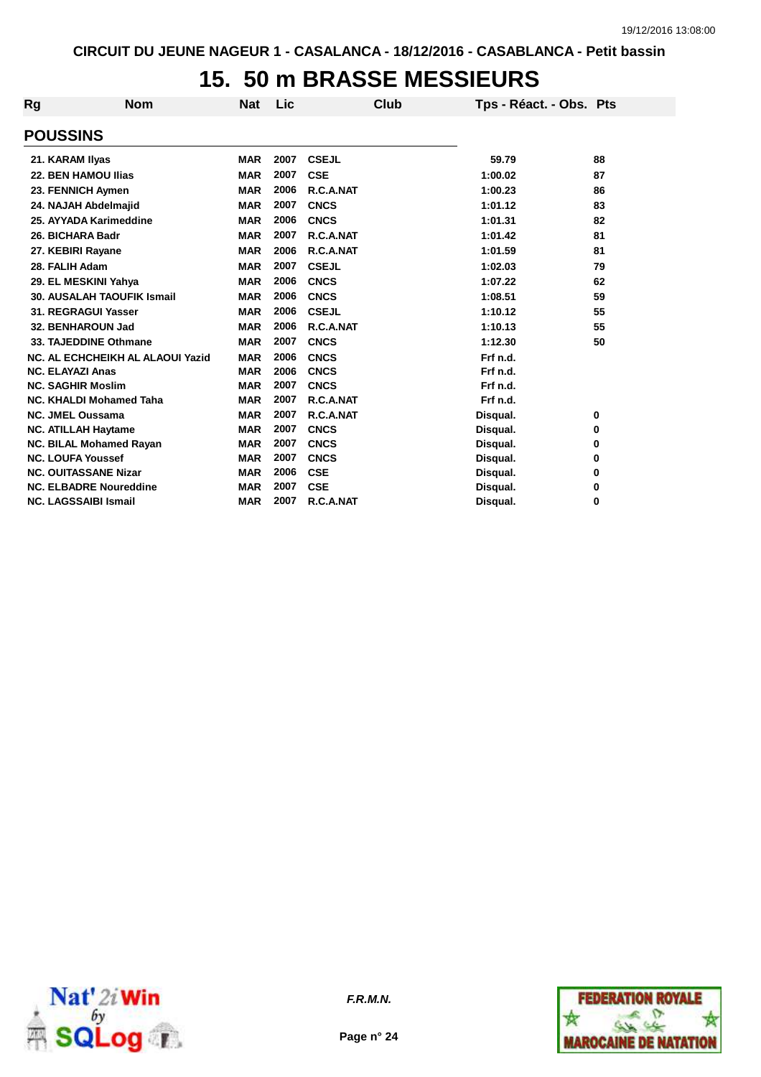## **15. 50 m BRASSE MESSIEURS**

| Rg              | <b>Nom</b>                        | <b>Nat</b> | Lic  | Club         | Tps - Réact. - Obs. Pts |    |
|-----------------|-----------------------------------|------------|------|--------------|-------------------------|----|
| <b>POUSSINS</b> |                                   |            |      |              |                         |    |
|                 | 21. KARAM Ilyas                   | <b>MAR</b> | 2007 | <b>CSEJL</b> | 59.79                   | 88 |
|                 | 22. BEN HAMOU Ilias               | <b>MAR</b> | 2007 | <b>CSE</b>   | 1:00.02                 | 87 |
|                 | 23. FENNICH Aymen                 | <b>MAR</b> | 2006 | R.C.A.NAT    | 1:00.23                 | 86 |
|                 | 24. NAJAH Abdelmajid              | <b>MAR</b> | 2007 | <b>CNCS</b>  | 1:01.12                 | 83 |
|                 | 25. AYYADA Karimeddine            | <b>MAR</b> | 2006 | <b>CNCS</b>  | 1:01.31                 | 82 |
|                 | 26. BICHARA Badr                  | <b>MAR</b> | 2007 | R.C.A.NAT    | 1:01.42                 | 81 |
|                 | 27. KEBIRI Rayane                 | <b>MAR</b> | 2006 | R.C.A.NAT    | 1:01.59                 | 81 |
|                 | 28. FALIH Adam                    | <b>MAR</b> | 2007 | <b>CSEJL</b> | 1:02.03                 | 79 |
|                 | 29. EL MESKINI Yahya              | <b>MAR</b> | 2006 | <b>CNCS</b>  | 1:07.22                 | 62 |
|                 | <b>30. AUSALAH TAOUFIK Ismail</b> | <b>MAR</b> | 2006 | <b>CNCS</b>  | 1:08.51                 | 59 |
|                 | 31. REGRAGUI Yasser               | <b>MAR</b> | 2006 | <b>CSEJL</b> | 1:10.12                 | 55 |
|                 | 32. BENHAROUN Jad                 | <b>MAR</b> | 2006 | R.C.A.NAT    | 1:10.13                 | 55 |
|                 | 33. TAJEDDINE Othmane             | <b>MAR</b> | 2007 | <b>CNCS</b>  | 1:12.30                 | 50 |
|                 | NC. AL ECHCHEIKH AL ALAOUI Yazid  | <b>MAR</b> | 2006 | <b>CNCS</b>  | Frf n.d.                |    |
|                 | <b>NC. ELAYAZI Anas</b>           | <b>MAR</b> | 2006 | <b>CNCS</b>  | Frf n.d.                |    |
|                 | <b>NC. SAGHIR Moslim</b>          | <b>MAR</b> | 2007 | <b>CNCS</b>  | Frf n.d.                |    |
|                 | NC. KHALDI Mohamed Taha           | <b>MAR</b> | 2007 | R.C.A.NAT    | Frf n.d.                |    |
|                 | <b>NC. JMEL Oussama</b>           | <b>MAR</b> | 2007 | R.C.A.NAT    | Disqual.                | 0  |
|                 | <b>NC. ATILLAH Haytame</b>        | <b>MAR</b> | 2007 | <b>CNCS</b>  | Disqual.                | 0  |
|                 | <b>NC. BILAL Mohamed Rayan</b>    | <b>MAR</b> | 2007 | <b>CNCS</b>  | Disqual.                | 0  |
|                 | <b>NC. LOUFA Youssef</b>          | <b>MAR</b> | 2007 | <b>CNCS</b>  | Disqual.                | 0  |
|                 | <b>NC. OUITASSANE Nizar</b>       | <b>MAR</b> | 2006 | <b>CSE</b>   | Disqual.                | 0  |
|                 | <b>NC. ELBADRE Noureddine</b>     | <b>MAR</b> | 2007 | <b>CSE</b>   | Disqual.                | 0  |
|                 | <b>NC. LAGSSAIBI Ismail</b>       | <b>MAR</b> | 2007 | R.C.A.NAT    | Disqual.                | 0  |